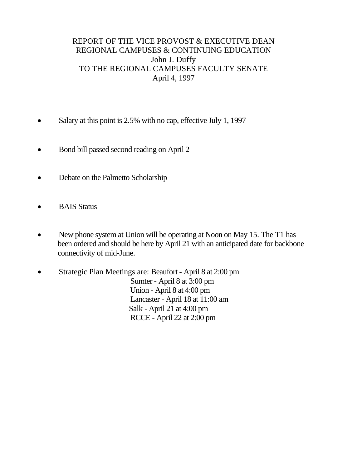# REPORT OF THE VICE PROVOST & EXECUTIVE DEAN REGIONAL CAMPUSES & CONTINUING EDUCATION John J. Duffy TO THE REGIONAL CAMPUSES FACULTY SENATE April 4, 1997

- Salary at this point is 2.5% with no cap, effective July 1, 1997
- Bond bill passed second reading on April 2
- Debate on the Palmetto Scholarship
- BAIS Status
- New phone system at Union will be operating at Noon on May 15. The T1 has been ordered and should be here by April 21 with an anticipated date for backbone connectivity of mid-June.
- Strategic Plan Meetings are: Beaufort April 8 at 2:00 pm Sumter - April 8 at 3:00 pm Union - April 8 at 4:00 pm Lancaster - April 18 at 11:00 am Salk - April 21 at 4:00 pm RCCE - April 22 at 2:00 pm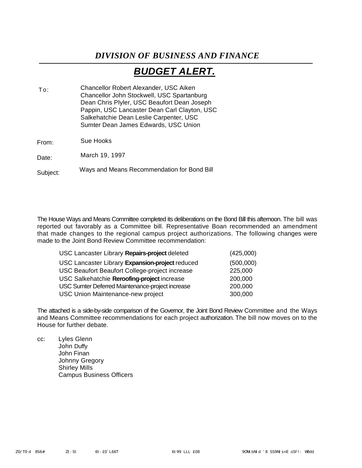# *DIVISION OF BUSINESS AND FINANCE*

# *BUDGET ALERT.*

Chancellor Robert Alexander, USC Aiken Chancellor John Stockwell, USC Spartanburg Dean Chris Plyler, USC Beaufort Dean Joseph Pappin, USC Lancaster Dean Carl Clayton, USC Salkehatchie Dean Leslie Carpenter, USC Sumter Dean James Edwards, USC Union  $T_0$ .

Sue Hooks From:

March 19, 1997 Date:

Ways and Means Recommendation for Bond Bill Subject:

The House Ways and Means Committee completed its deliberations on the Bond Bill this afternoon. The bill was reported out favorably as a Committee bill. Representative Boan recommended an amendment that made changes to the regional campus project authorizations. The following changes were made to the Joint Bond Review Committee recommendation:

| USC Lancaster Library Repairs-project deleted    | (425,000) |
|--------------------------------------------------|-----------|
| USC Lancaster Library Expansion-project reduced  | (500,000) |
| USC Beaufort Beaufort College-project increase   | 225,000   |
| USC Salkehatchie Reroofing-project increase      | 200,000   |
| USC Sumter Deferred Maintenance-project increase | 200,000   |
| USC Union Maintenance-new project                | 300,000   |

The attached is a side-by-side comparison of the Governor, the Joint Bond Review Committee and the Ways and Means Committee recommendations for each project authorization. The bill now moves on to the House for further debate.

cc: Lyles Glenn John Duffy John Finan Johnny Gregory Shirley Mills Campus Business Officers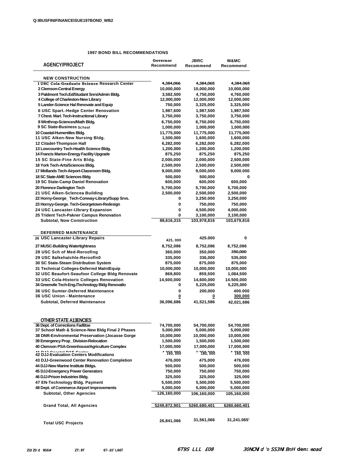### **1997 BOND BILL RECOMMENDATIONS**

| <b>AGENCY/PROJECT</b>                                                                     | Governor<br>Recommend   | JBRC<br>Recommend       | <b>W&amp;MC</b><br>Recommend |
|-------------------------------------------------------------------------------------------|-------------------------|-------------------------|------------------------------|
| <b>NEW CONSTRUCTION</b>                                                                   |                         |                         |                              |
| I USC Cola-Graduate Science Research Center                                               | 4,384,066               | 4,384,065               | 4,384.065                    |
| 2 Clemson-Central Energy                                                                  | 10,000,000              | 10,000,000              | 10,000,000                   |
| 3 Paldmont Tech.Ed/Studant Snrs/Admin Bldg.                                               | 3,582,500               | 4,750,000               | 4,760,000                    |
| 4 College of Charleston-New Library                                                       | 12,000,000              | 12,000,000              | 12,000,000                   |
| 5 Lander-Science Hal Renovate and Equip                                                   | 750,000                 | 3,325,000               | 3,325,000                    |
| 6 USC Spart.-Hedge Center Renovation                                                      | 1,987,600               | 1,987,500               | 1,987,500                    |
| 7 Chest. Marl. Tech-Instructional Library                                                 | 3,750,000               | 3,750,000               | 3,750,000                    |
| 8 Winthrop-Sciences/Math Bldg.                                                            | 6,750,000               | 6,750,000               | 6,750,000                    |
| 9 SC State-Business School<br>10 Coastal-Humenitles Bldg.                                 | 1,000,000               | 1,000,000               | 1,000,000                    |
| 11 USC Alken-New Nursing Bldg.                                                            | 11,775,000<br>1,500,000 | 11,775,000<br>1,600,000 | 11,775,000<br>1,600,000      |
| 12 Citadel-Thompson Hall                                                                  | 6,282,000               | 6,282,000               | 6,282,000                    |
| 13 Lowcountry Tech-Health Science Bldg.                                                   | 1,200,000               | 1,200,000               | 1,200,000                    |
| 14 Francis Marion-Energy Facility Upgrade                                                 | 875,250                 | 875,250                 | 875,250                      |
| 15 SC State-Fine Arts Bldg.                                                               | 2,000,000               | 2,000,000               | 2,500,000                    |
| 18 York Tech-Arts/Sciences Bldg.                                                          | 2,500,000               | 2,500,000               | 2,500,000                    |
| 17 Midlands Tech-Airport-Classroom Bldg.                                                  | 9,000,000               | 9,000,000               | 9,000.000                    |
| 18 SC State-AME Sciences Bldg                                                             | 500,000                 | 500,000                 | 0                            |
| 19 SC State-Camp Daniel Renovation                                                        | 600,000                 | 600,000                 | 600,000                      |
| 20 Florence Darlington Tech                                                               | 5,700,000               | 5,700,000               | 5,700,000                    |
| 21 USC Alken-Sclencea Building                                                            | 2,500,000               | 2,500,000               | 2,500,000                    |
| 22 Horny-George_Tech-Conway-Library/Supp Srvs.                                            | 0                       | 3,250.000               | 3,250,000                    |
| 23 Hornyy-George. Tech-Georgetown-Redesign                                                | 0                       | 750,000                 | 750,000                      |
| 24 USC Lancaster-IJbrary Expansion                                                        | 0                       | 4,500,000               | 4,000,000                    |
| 25 Trident Tech-Pakner Campus Renovation                                                  | 0                       | 3,100,000               | 3,100,000                    |
| <b>Subtotal, Now Construction</b>                                                         | 88,616,315              | 103,978,816             | 103,679,816                  |
|                                                                                           |                         |                         |                              |
| <b>DEFERRED MAINTENANCE</b>                                                               |                         |                         |                              |
| 26 USC Lancaster-Library Repairs                                                          | 425,000                 | 425.000                 | 0                            |
| 27 MUSC-Building Watertightness                                                           | 8,752,086               | 8,752,086               | 8,752,086                    |
| 28 USC Sch of Med-Reroofing                                                               | 360,000                 | 350,000                 | 350,000                      |
| 29 USC 8alkehatchle-Reroofin0                                                             | 335,000                 | 336,000                 | 535,000                      |
| 30 SC State-Steam Distribution System                                                     | 875,000                 | 875,000                 | 875,000                      |
| 31 Technical Colleges-Deferred MaIntEquip                                                 | 10,000,000              | 10,000,000              | 10,000,000                   |
| 32 USC Beaufort-Seaufoor College Bldg Renovate                                            | 869,800                 | 859,500                 | 1,084,500                    |
| 33 USC Cola-Historic Colleges Renovation                                                  | 14,600,000              | 14,600,000              | 14.500,000                   |
| 34 Greenvile Tech-Eng./Technology Bldg Renovatlo                                          | 0                       | 5,225,000               | 5,225,000                    |
| 36 USC Sumter-Deferred Maintenance                                                        | 0                       | 200,000                 | 400.000                      |
| <b>36 USC Union - Maintenance</b>                                                         | 0                       | 0                       | 300,000                      |
| Subtotal, Deferred Maintenance                                                            | 36,096,686              | 41,521,586              | 42,021,686                   |
|                                                                                           |                         |                         |                              |
|                                                                                           |                         |                         |                              |
| OTHER STATE A13ENCIES                                                                     |                         |                         |                              |
| 36 Dept. of Corrections Fad6tse                                                           | 74,700,000              | 54,700,000              | 54,700,000                   |
| 37 School Math & Science-New Bldg Final 2 Phases                                          | 5,000,000               | 5,000,000               | 5,000,000                    |
| 38 DNR-Environmental Preservation (Jocasse Gorge<br>39 Emergency Prop_Division-Relocation | 10,000,000<br>1,500,000 | 10,000,000<br>1,500,000 | 10,000,000<br>1,500,000      |
| 40 Clemson PSA-Greenhouse/Agriculture Complex                                             | 17,000,000              | 17,000,000              | 17,000,000                   |
|                                                                                           |                         | 1 750,000               |                              |
| 41 BJJ-Evaluation Centers Modifications                                                   | 168,000 ^               |                         | 188,008 ^                    |
| 43 DJJ-Greenwood Center Renovation Completion                                             | 476,000                 | 475,000                 | 476,000                      |
| 44 DJJ-New Marine Institute Bldgs.                                                        | 500,000                 | 500,000                 | 500,000                      |
| 45 DJJ-Emergency Power Generators                                                         | 750,000                 | 750,000                 | 750,000                      |
| 46 DJJ-Prison Industries Bldg.                                                            | 325,000                 | 325,000                 | 325,000                      |
| 47 EN-Technology Bidg. Payment                                                            | 5,500,000               | 5,500,000               | 5,500,000                    |
| 48 Dept. of Commerce-Airport Improvements                                                 | 5,000,000               | 5,000,000               | 5,000,000                    |
| <b>Subtotal, Other Agencies</b>                                                           | 126,160,000             | 106,160,000             | 105,160,000                  |
|                                                                                           |                         |                         |                              |
| Grand Total, All Agencies                                                                 | <u>5249,872,901</u>     | <u>5260,680,401</u>     | <u>6260,660,401</u>          |
|                                                                                           |                         |                         |                              |
| <b>Total USC Projects</b>                                                                 | 26,841,066              | 31,561,066              | 31,241.065'                  |
|                                                                                           |                         |                         |                              |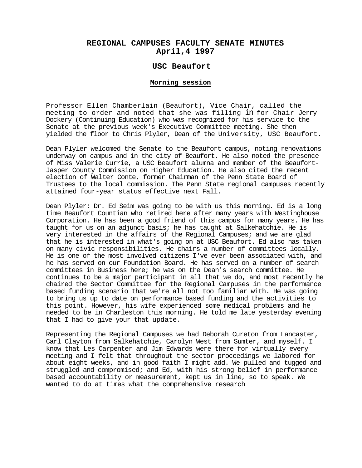### **REGIONAL CAMPUSES FACULTY SENATE MINUTES April,4 1997**

### **USC Beaufort**

#### **Morning session**

Professor Ellen Chamberlain (Beaufort), Vice Chair, called the meeting to order and noted that she was filling in for Chair Jerry Dockery (Continuing Education) who was recognized for his service to the Senate at the previous week's Executive Committee meeting. She then yielded the floor to Chris Plyler, Dean of the University, USC Beaufort.

Dean Plyler welcomed the Senate to the Beaufort campus, noting renovations underway on campus and in the city of Beaufort. He also noted the presence of Miss Valerie Currie, a USC Beaufort alumna and member of the Beaufort-Jasper County Commission on Higher Education. He also cited the recent election of Walter Conte, former Chairman of the Penn State Board of Trustees to the local commission. The Penn State regional campuses recently attained four-year status effective next Fall.

Dean Plyler: Dr. Ed Seim was going to be with us this morning. Ed is a long time Beaufort Countian who retired here after many years with Westinghouse Corporation. He has been a good friend of this campus for many years. He has taught for us on an adjunct basis; he has taught at Salkehatchie. He is very interested in the affairs of the Regional Campuses; and we are glad that he is interested in what's going on at USC Beaufort. Ed also has taken on many civic responsibilities. He chairs a number of committees locally. He is one of the most involved citizens I've ever been associated with, and he has served on our Foundation Board. He has served on a number of search committees in Business here; he was on the Dean's search committee. He continues to be a major participant in all that we do, and most recently he chaired the Sector Committee for the Regional Campuses in the performance based funding scenario that we're all not too familiar with. He was going to bring us up to date on performance based funding and the activities to this point. However, his wife experienced some medical problems and he needed to be in Charleston this morning. He told me late yesterday evening that I had to give your that update.

Representing the Regional Campuses we had Deborah Cureton from Lancaster, Carl Clayton from Salkehatchie, Carolyn West from Sumter, and myself. I know that Les Carpenter and Jim Edwards were there for virtually every meeting and I felt that throughout the sector proceedings we labored for about eight weeks, and in good faith I might add. We pulled and tugged and struggled and compromised; and Ed, with his strong belief in performance based accountability or measurement, kept us in line, so to speak. We wanted to do at times what the comprehensive research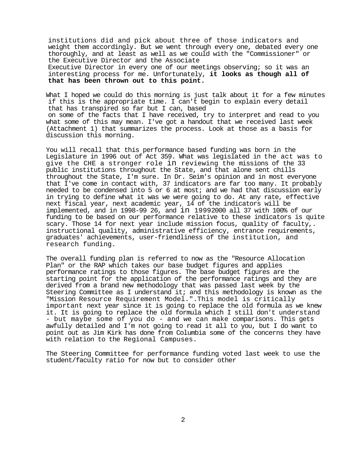institutions did and pick about three of those indicators and weight them accordingly. But we went through every one, debated every one thoroughly, and at least as well as we could with the "Commissioner" or the Executive Director and the Associate Executive Director in every one of our meetings observing; so it was an

interesting process for me. Unfortunately, **it looks as though all of that has been thrown out to this point.**

What I hoped we could do this morning is just talk about it for a few minutes if this is the appropriate time. I can't begin to explain every detail that has transpired so far but I can, based

on some of the facts that I have received, try to interpret and read to you what some of this may mean. I've got a handout that we received last week (Attachment 1) that summarizes the process. Look at those as a basis for discussion this morning.

You will recall that this performance based funding was born in the Legislature in 1996 out of Act 359. What was legislated in the act was to give the CHE a stronger role in reviewing the missions of the 33 public institutions throughout the State, and that alone sent chills throughout the State, I'm sure. In Dr. Seim's opinion and in most everyone that I've come in contact with, 37 indicators are far too many. It probably needed to be condensed into 5 or 6 at most; and we had that discussion early in trying to define what it was we were going to do. At any rate, effective next fiscal year, next academic year, 14 of the indicators will be implemented, and in 1998-99 26, and in 19992000 all 37 with 100% of our funding to be based on our performance relative to these indicators is quite scary. Those 14 for next year include mission focus, quality of faculty,. instructional quality, administrative efficiency, entrance requirements, graduates' achievements, user-friendliness of the institution, and research funding.

The overall funding plan is referred to now as the "Resource Allocation Plan" or the RAP which takes our base budget figures and applies performance ratings to those figures. The base budget figures are the starting point for the application of the performance ratings and they are derived from a brand new methodology that was passed last week by the Steering Committee as I understand it; and this methodology is known as the "Mission Resource Requirement Model.".This model is critically important next year since it is going to replace the old formula as we knew - but maybe some of you do - and we can make comparisons. This gets awfully detailed and I'm not going to read it all to you, but I do want to point out as Jim Kirk has done from Columbia some of the concerns they have with relation to the Regional Campuses.

The Steering Committee for performance funding voted last week to use the student/faculty ratio for now but to consider other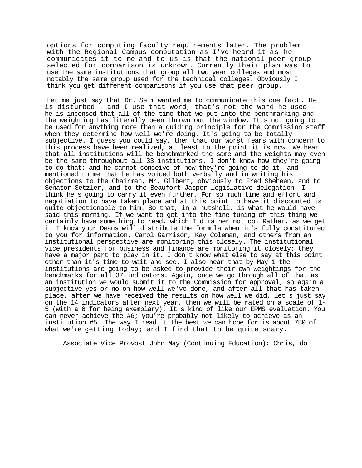options for computing faculty requirements later. The problem with the Regional Campus computation as I've heard it as he communicates it to me and to us is that the national peer group selected for comparison is unknown. Currently their plan was to use the same institutions that group all two year colleges and most notably the same group used for the technical colleges. Obviously I think you get different comparisons if you use that peer group.

Let me just say that Dr. Seim wanted me to communicate this one fact. He is disturbed - and I use that word, that's not the word he used he is incensed that all of the time that we put into the benchmarking and the weighting has literally been thrown out the window. It's not going to be used for anything more than a guiding principle for the Commission staff when they determine how well we're doing. It's going to be totally subjective. I guess you could say, then that our worst fears with concern to this process have been realized, at least to the point it is now. We hear that all institutions will be benchmarked the same and the weights may even be the same throughout all 33 institutions. I don't know how they're going to do that; and he cannot conceive of how they're going to do it, and mentioned to me that he has voiced both verbally and in writing his objections to the Chairman, Mr. Gilbert, obviously to Fred Sheheen, and to Senator Setzler, and to the Beaufort-Jasper legislative delegation. I think he's going to carry it even further. For so much time and effort and negotiation to have taken place and at this point to have it discounted is quite objectionable to him. So that, in a nutshell, is what he would have said this morning. If we want to get into the fine tuning of this thing we certainly have something to read, which I'd rather not do. Rather, as we get it I know your Deans will distribute the formula when it's fully constituted to you for information. Carol Garrison, Kay Coleman, and others from an institutional perspective are monitoring this closely. The institutional vice presidents for business and finance are monitoring it closely; they have a major part to play in it. I don't know what else to say at this point other than it's time to wait and see. I also hear that by May 1 the institutions are going to be asked to provide their own weightings for the benchmarks for all 37 indicators. Again, once we go through all of that as an institution we would submit it to the Commission for approval, so again a subjective yes or no on how well we've done, and after all that has taken place, after we have received the results on how well we did, let's just say<br>on the 14 indicators after next year, then we will be rated on a scale of 1-5 (with a 6 for being exemplary). It's kind of like our EPMS evaluation. You can never achieve the #6; you're probably not likely to achieve as an institution #5. The way I read it the best we can hope for is about 750 of what we're getting today; and I find that to be quite scary.

Associate Vice Provost John May (Continuing Education): Chris, do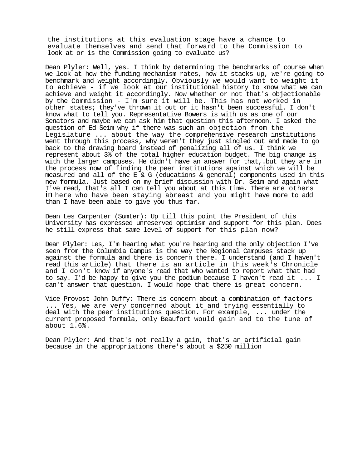the institutions at this evaluation stage have a chance to evaluate themselves and send that forward to the Commission to look at or is the Commission going to evaluate us?

Dean Plyler: Well, yes. I think by determining the benchmarks of course when we look at how the funding mechanism rates, how it stacks up, we're going to benchmark and weight accordingly. Obviously we would want to weight it to achieve - if we look at our institutional history to know what we can achieve and weight it accordingly. Now whether or not that's objectionable by the Commission - I'm sure it will be. This has not worked in other states; they've thrown it out or it hasn't been successful. I don't know what to tell you. Representative Bowers is with us as one of our Senators and maybe we can ask him that question this afternoon. I asked the question of Ed Seim why if there was such an objection from the Legislature ... about the way the comprehensive research institutions went through this process, why weren't they just singled out and made to go back to the drawing board instead of penalizing all of us. I think we represent about 3% of the total higher education budget. The big change is with the larger campuses. He didn't have an answer for that,.but they are in the process now of finding the peer institutions against which we will be measured and all of the E & G (educations & general) components used in this new formula. Just based on my brief discussion with Dr. Seim and again what I've read, that's all I can tell you about at this time. There are others in here who have been staying abreast and you might have more to add than I have been able to give you thus far.

Dean Les Carpenter (Sumter): Up till this point the President of this University has expressed unreserved optimism and support for this plan. Does he still express that same level of support for this plan now?

Dean Plyler: Les, I'm hearing what you're hearing and the only objection I've seen from the Columbia Campus is the way the Regional Campuses stack up against the formula and there is concern there. I understand (and I haven't read this article) that there is an article in this week's Chronicle and I don't know if anyone's read that who wanted to report what that had to say. I'd be happy to give you the podium because I haven't read it ... I can't answer that question. I would hope that there is great concern.

Vice Provost John Duffy: There is concern about a combination of factors ... Yes, we are very concerned about it and trying essentially to deal with the peer institutions question. For example, ... under the current proposed formula, only Beaufort would gain and to the tune of about 1.6%.

Dean Plyler: And that's not really a gain, that's an artificial gain because in the appropriations there's about a \$250 million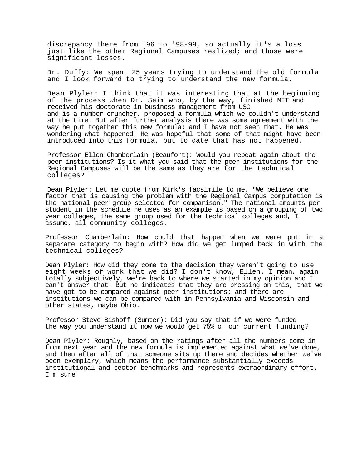discrepancy there from '96 to '98-99, so actually it's a loss just like the other Regional Campuses realized; and those were significant losses.

Dr. Duffy: We spent 25 years trying to understand the old formula and I look forward to trying to understand the new formula.

Dean Plyler: I think that it was interesting that at the beginning of the process when Dr. Seim who, by the way, finished MIT and received his doctorate in business management from USC and is a number cruncher, proposed a formula which we couldn't understand at the time. But after further analysis there was some agreement with the way he put together this new formula; and I have not seen that. He was wondering what happened. He was hopeful that some of that might have been introduced into this formula, but to date that has not happened.

Professor Ellen Chamberlain (Beaufort): Would you repeat again about the peer institutions? Is it what you said that the peer institutions for the Regional Campuses will be the same as they are for the technical colleges?

Dean Plyler: Let me quote from Kirk's facsimile to me. "We believe one factor that is causing the problem with the Regional Campus computation is the national peer group selected for comparison." The national amounts per student in the schedule he uses as an example is based on a grouping of two year colleges, the same group used for the technical colleges and, I assume, all community colleges.

Professor Chamberlain: How could that happen when we were put in a separate category to begin with? How did we get lumped back in with the technical colleges?

Dean Plyler: How did they come to the decision they weren't going to use eight weeks of work that we did? I don't know, Ellen. I mean, again totally subjectively, we're back to where we started in my opinion and I can't answer that. But he indicates that they are pressing on this, that we have got to be compared against peer institutions; and there are institutions we can be compared with in Pennsylvania and Wisconsin and other states, maybe Ohio.

Professor Steve Bishoff (Sumter): Did you say that if we were funded the way you understand it now we would get 75% of our current funding?

Dean Plyler: Roughly, based on the ratings after all the numbers come in from next year and the new formula is implemented against what we've done, and then after all of that someone sits up there and decides whether we've been exemplary, which means the performance substantially exceeds institutional and sector benchmarks and represents extraordinary effort. I'm sure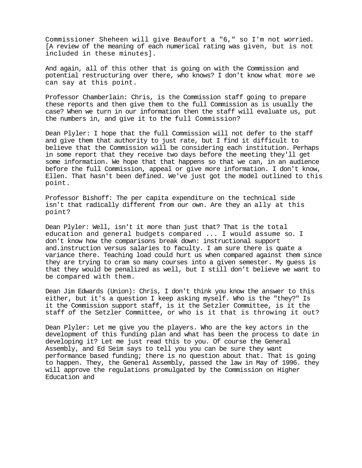Commissioner Sheheen will give Beaufort a "6," so I'm not worried. [A review of the meaning of each numerical rating was given, but is not included in these minutes].

And again, all of this other that is going on with the Commission and potential restructuring over there, who knows? I don't know what more we can say at this point.

Professor Chamberlain: Chris, is the Commission staff going to prepare these reports and then give them to the full Commission as is usually the case? When we turn in our information then the staff will evaluate us, put the numbers in, and give it to the full Commission?

Dean Plyler: I hope that the full Commission will not defer to the staff and give them that authority to just rate, but I find it difficult to believe that the Commission will be considering each institution. Perhaps in some report that they receive two days before the meeting they'll get some information. We hope that that happens so that we can, in an audience before the full Commission, appeal or give more information. I don't know, Ellen. That hasn't been defined. We've just got the model outlined to this point.

Professor Bishoff: The per capita expenditure on the technical side isn't that radically different from our own. Are they an ally at this point?

Dean Plyler: Well, isn't it more than just that? That is the total education and general budgets compared ... I would assume so. I don't know how the comparisons break down: instructional support and.instruction versus salaries to faculty. I am sure there is quate a variance there. Teaching load could hurt us when compared against them since they are trying to cram so many courses into a given semester. My guess is that they would be penalized as well, but I still don't believe we want to be compared with them.

Dean Jim Edwards (Union): Chris, I don't think you know the answer to this either, but it's a question I keep asking myself. Who is the "they?" Is it the Commission support staff, is it the Setzler Committee, is it the staff of the Setzler Committee, or who is it that is throwing it out?

Dean Plyler: Let me give you the players. Who are the key actors in the development of this funding plan and what has been the process to date in developing it? Let me just read this to you. Of course the General Assembly, and Ed Seim says to tell you you can be sure they want performance based funding; there is no question about that. That is going to happen. They, the General Assembly, passed the law in May of 1996. they will approve the regulations promulgated by the Commission on Higher Education and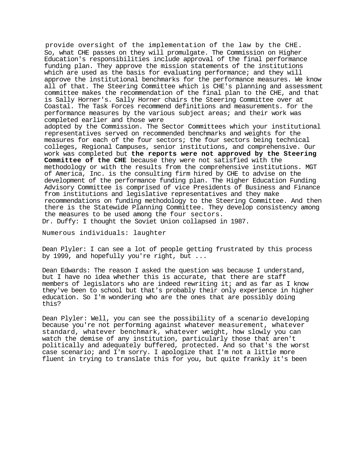provide oversight of the implementation of the law by the CHE. So, what CHE passes on they will promulgate. The Commission on Higher Education's responsibilities include approval of the final performance funding plan. They approve the mission statements of the institutions which are used as the basis for evaluating performance; and they will approve the institutional benchmarks for the performance measures. We know all of that. The Steering Committee which is CHE's planning and assessment committee makes the recommendation of the final plan to the CHE, and that is Sally Horner's. Sally Horner chairs the Steering Committee over at Coastal. The Task Forces recommend definitions and measurements. for the performance measures by the various subject areas; and their work was completed earlier and those were

adopted by the Commission. The Sector Committees which your institutional representatives served on recommended benchmarks and weights for the measures for each of the four sectors; the four sectors being technical colleges, Regional Campuses, senior institutions, and comprehensive. Our work was completed but **the reports were not approved by the Steering Committee of the CHE** because they were not satisfied with the methodology or with the results from the comprehensive institutions. MGT of America, Inc. is the consulting firm hired by CHE to advise on the development of the performance funding plan. The Higher Education Funding Advisory Committee is comprised of vice Presidents of Business and Finance from institutions and legislative representatives and they make recommendations on funding methodology to the Steering Committee. And then there is the Statewide Planning Committee. They develop consistency among the measures to be used among the four sectors.

Dr. Duffy: I thought the Soviet Union collapsed in 1987.

Numerous individuals: laughter

Dean Plyler: I can see a lot of people getting frustrated by this process by 1999, and hopefully you're right, but ...

Dean Edwards: The reason I asked the question was because I understand, but I have no idea whether this is accurate, that there are staff members of legislators who are indeed rewriting it; and as far as I know they've been to school but that's probably their only experience in higher education. So I'm wondering who are the ones that are possibly doing this?

Dean Plyler: Well, you can see the possibility of a scenario developing because you're not performing against whatever measurement, whatever standard, whatever benchmark, whatever weight, how slowly you can watch the demise of any institution, particularly those that aren't politically and adequately buffered, protected. And so that's the worst case scenario; and I'm sorry. I apologize that I'm not a little more fluent in trying to translate this for you, but quite frankly it's been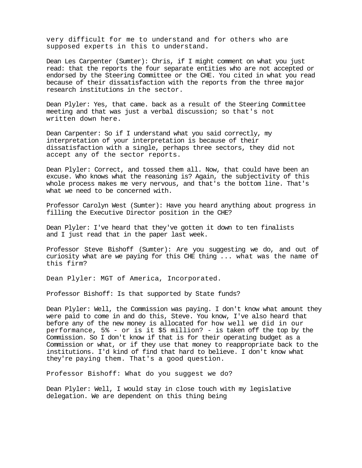very difficult for me to understand and for others who are supposed experts in this to understand.

Dean Les Carpenter (Sumter): Chris, if I might comment on what you just read: that the reports the four separate entities who are not accepted or endorsed by the Steering Committee or the CHE. You cited in what you read because of their dissatisfaction with the reports from the three major research institutions in the sector.

Dean Plyler: Yes, that came. back as a result of the Steering Committee meeting and that was just a verbal discussion; so that's not written down here.

Dean Carpenter: So if I understand what you said correctly, my interpretation of your interpretation is because of their dissatisfaction with a single, perhaps three sectors, they did not accept any of the sector reports.

Dean Plyler: Correct, and tossed them all. Now, that could have been an excuse. Who knows what the reasoning is? Again, the subjectivity of this whole process makes me very nervous, and that's the bottom line. That's what we need to be concerned with.

Professor Carolyn West (Sumter): Have you heard anything about progress in filling the Executive Director position in the CHE?

Dean Plyler: I've heard that they've gotten it down to ten finalists and I just read that in the paper last week.

Professor Steve Bishoff (Sumter): Are you suggesting we do, and out of curiosity what are we paying for this CHE thing ... what was the name of this firm?

Dean Plyler: MGT of America, Incorporated.

Professor Bishoff: Is that supported by State funds?

Dean Plyler: Well, the Commission was paying. I don't know what amount they were paid to come in and do this, Steve. You know, I've also heard that before any of the new money is allocated for how well we did in our performance, 5% - or is it \$5 million? - is taken off the top by the Commission. So I don't know if that is for their operating budget as a Commission or what, or if they use that money to reappropriate back to the institutions. I'd kind of find that hard to believe. I don't know what they're paying them. That's a good question.

Professor Bishoff: What do you suggest we do?

Dean Plyler: Well, I would stay in close touch with my legislative delegation. We are dependent on this thing being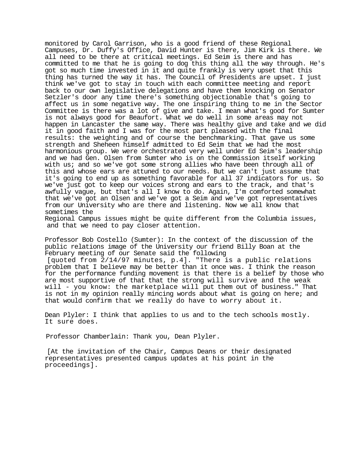monitored by Carol Garrison, who is a good friend of these Regional Campuses, Dr. Duffy's Office, David Hunter is there, Jim Kirk is there. We all need to be there at critical meetings. Ed Seim is there and has committed to me that he is going to dog this thing all the way through. He's got so much time invested in it and quite frankly is very upset that this thing has turned the way it has. The Council of Presidents are upset. I just think we've got to stay in touch with each committee meeting and report back to our own legislative delegations and have them knocking on Senator Setzler's door any time there's something objectionable that's going to affect us in some negative way. The one inspiring thing to me in the Sector Committee is there was a lot of give and take. I mean what's good for Sumter is not always good for Beaufort. What we do well in some areas may not happen in Lancaster the same way. There was healthy give and take and we did it in good faith and I was for the most part pleased with the final results: the weighting and of course the benchmarking. That gave us some strength and Sheheen himself admitted to Ed Seim that we had the most harmonious group. We were orchestrated very well under Ed Seim's leadership and we had Gen. Olsen from Sumter who is on the Commission itself working with us; and so we've got some strong allies who have been through all of this and whose ears are attuned to our needs. But we can't just assume that it's going to end up as something favorable for all 37 indicators for us. So we've just got to keep our voices strong and ears to the track, and that's awfully vague, but that's all I know to do. Again, I'm comforted somewhat that we've got an Olsen and we've got a Seim and we've got representatives from our University who are there and listening. Now we all know that sometimes the

Regional Campus issues might be quite different from the Columbia issues, and that we need to pay closer attention.

Professor Bob Costello (Sumter): In the context of the discussion of the public relations image of the University our friend Billy Boan at the February meeting of our Senate said the following

[quoted from 2/14/97 minutes, p.4]. "There is a public relations problem that I believe may be better than it once was. I think the reason for the performance funding movement is that there is a belief by those who are most supportive of that that the strong will survive and the weak will - you know: the marketplace will put them out of business." That is not in my opinion really mincing words about what is going on here; and that would confirm that we really do have to worry about it.

Dean Plyler: I think that applies to us and to the tech schools mostly. It sure does.

Professor Chamberlain: Thank you, Dean Plyler.

[At the invitation of the Chair, Campus Deans or their designated representatives presented campus updates at his point in the proceedings].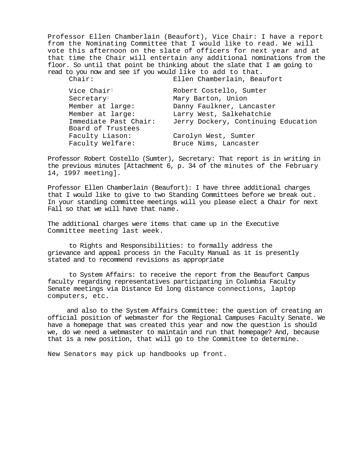Professor Ellen Chamberlain (Beaufort), Vice Chair: I have a report from the Nominating Committee that I would like to read. We will vote this afternoon on the slate of officers for next year and at that time the Chair will entertain any additional nominations from the floor. So until that point be thinking about the slate that I am going to read to you now and see if you would like to add to that.<br>Chair: Ellen Chamberlain, Bea

Ellen Chamberlain, Beaufort

| Vice Chair <sup>:</sup> | Robert Costello, Sumter             |
|-------------------------|-------------------------------------|
| Secretary <sup>:</sup>  | Mary Barton, Union                  |
| Member at large:        | Danny Faulkner, Lancaster           |
| Member at large:        | Larry West, Salkehatchie            |
| Immediate Past Chair:   | Jerry Dockery, Continuing Education |
| Board of Trustees       |                                     |
| Faculty Liason:         | Carolyn West, Sumter                |
| Faculty Welfare:        | Bruce Nims, Lancaster               |

Professor Robert Costello (Sumter), Secretary: That report is in writing in the previous minutes [Attachment 6, p. 34 of the minutes of the February 14, 1997 meeting].

Professor Ellen Chamberlain (Beaufort): I have three additional charges that I would like to give to two Standing Committees before we break out. In your standing committee meetings will you please elect a Chair for next Fall so that we will have that name.

The additional charges were items that came up in the Executive Committee meeting last week.

to Rights and Responsibilities: to formally address the grievance and appeal process in the Faculty Manual as it is presently stated and to recommend revisions as appropriate

to System Affairs: to receive the report from the Beaufort Campus faculty regarding representatives participating in Columbia Faculty Senate meetings via Distance Ed long distance connections, laptop computers, etc.

and also to the System Affairs Committee: the question of creating an official position of webmaster for the Regional Campuses Faculty Senate. We have a homepage that was created this year and now the question is should we, do we need a webmaster to maintain and run that homepage? And, because that is a new position, that will go to the Committee to determine.

New Senators may pick up handbooks up front.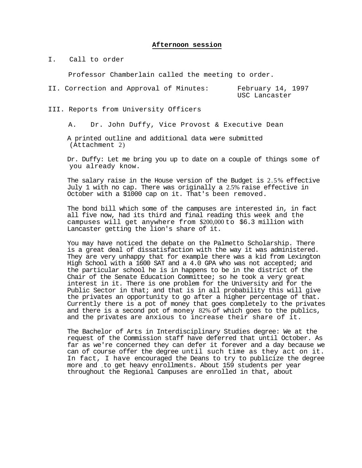#### **Afternoon session**

I. Call to order

Professor Chamberlain called the meeting to order.

II. Correction and Approval of Minutes: February 14, 1997 USC Lancaster

III. Reports from University Officers

A. Dr. John Duffy, Vice Provost & Executive Dean

A printed outline and additional data were submitted (Attachment 2)

Dr. Duffy: Let me bring you up to date on a couple of things some of you already know.

The salary raise in the House version of the Budget is 2.5% effective July 1 with no cap. There was originally a 2.5% raise effective in October with a \$1000 cap on it. That's been removed.

The bond bill which some of the campuses are interested in, in fact all five now, had its third and final reading this week and the campuses will get anywhere from \$200,000 to \$6.3 million with Lancaster getting the lion's share of it.

You may have noticed the debate on the Palmetto Scholarship. There is a great deal of dissatisfaction with the way it was administered. They are very unhappy that for example there was a kid from Lexington High School with a 1600 SAT and a 4.0 GPA who was not accepted; and the particular school he is in happens to be in the district of the Chair of the Senate Education Committee; so he took a very great interest in it. There is one problem for the University and for the Public Sector in that; and that is in all probability this will give the privates an opportunity to go after a higher percentage of that. Currently there is a pot of money that goes completely to the privates and there is a second pot of money 82% of which goes to the publics, and the privates are anxious to increase their share of it.

The Bachelor of Arts in Interdisciplinary Studies degree: We at the request of the Commission staff have deferred that until October. As far as we're concerned they can defer it forever and a day because we can of course offer the degree until such time as they act on it. In fact, I have encouraged the Deans to try to publicize the degree more and .to get heavy enrollments. About 159 students per year throughout the Regional Campuses are enrolled in that, about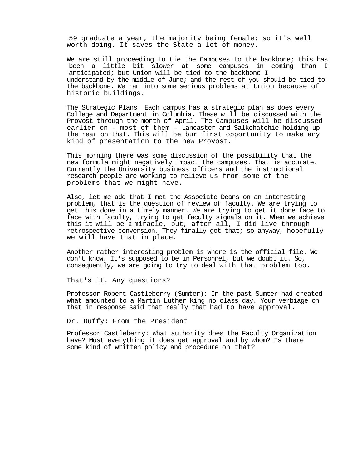59 graduate a year, the majority being female; so it's well worth doing. It saves the State a lot of money.

We are still proceeding to tie the Campuses to the backbone; this has been a little bit slower at some campuses in coming than I anticipated; but Union will be tied to the backbone I understand by the middle of June; and the rest of you should be tied to the backbone. We ran into some serious problems at Union because of historic buildings.

The Strategic Plans: Each campus has a strategic plan as does every College and Department in Columbia. These will be discussed with the Provost through the month of April. The Campuses will be discussed earlier on - most of them - Lancaster and Salkehatchie holding up the rear on that. This will be bur first opportunity to make any kind of presentation to the new Provost.

This morning there was some discussion of the possibility that the new formula might negatively impact the campuses. That is accurate. Currently the University business officers and the instructional research people are working to relieve us from some of the problems that we might have.

Also, let me add that I met the Associate Deans on an interesting problem, that is the question of review of faculty. We are trying to get this done in a timely manner. We are trying to get it done face to face with faculty, trying to get faculty signals on it. When we achieve this it will be a miracle, but, after all, I did live through retrospective conversion. They finally got that; so anyway, hopefully we will have that in place.

Another rather interesting problem is where is the official file. We don't know. It's supposed to be in Personnel, but we doubt it. So, consequently, we are going to try to deal with that problem too.

That's it. Any questions?

Professor Robert Castleberry (Sumter): In the past Sumter had created what amounted to a Martin Luther King no class day. Your verbiage on that in response said that really that had to have approval.

Dr. Duffy: From the President

Professor Castleberry: What authority does the Faculty Organization have? Must everything it does get approval and by whom? Is there some kind of written policy and procedure on that?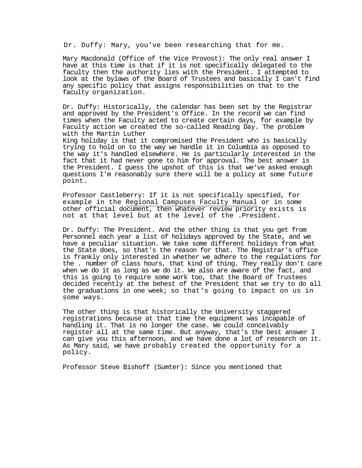Dr. Duffy: Mary, you've been researching that for me.

Mary Macdonald (Office of the Vice Provost): The only real answer I have at this time is that if it is not specifically delegated to the faculty then the authority lies with the President. I attempted to look at the bylaws of the Board of Trustees and basically I can't find any specific policy that assigns responsibilities on that to the faculty organization.

Dr. Duffy: Historically, the calendar has been set by the Registrar and approved by the President's Office. In the record we can find times when the Faculty acted to create certain days, for example by Faculty action we created the so-called Reading Day. The problem with the Martin Luther

King holiday is that it compromised the President who is basically trying to hold on to the way we handle it in Columbia as opposed to the way it's handled elsewhere. He is particularly interested in the fact that it had never gone to him for approval. The best answer is the President. I guess the upshot of this is that we've asked enough questions I'm reasonably sure there will be a policy at some future point.

Professor Castleberry: If it is not specifically specified, for example in the Regional Campuses Faculty Manual or in some other official document, then whatever review priority exists is not at that level but at the level of the .President.

Dr. Duffy: The President. And the other thing is that you get from Personnel each year a list of holidays approved by the State, and we have a peculiar situation. We take some different holidays from what the State does, so that's the reason for that. The Registrar's office is frankly only interested in whether we adhere to the regulations for the . number of class hours, that kind of thing. They really don't care when we do it as long as we do it. We also are aware of the fact, and this is going to require some work too, that the Board of Trustees decided recently at the behest of the President that we try to do all the graduations in one week; so that's going to impact on us in some ways.

The other thing is that historically the University staggered registrations because at that time the equipment was incapable of handling it. That is no longer the case. We could conceivably register all at the same time. But anyway, that's the best answer I can give you this afternoon, and we have done a lot of research on it. As Mary said, we have probably created the opportunity for a policy.

Professor Steve Bishoff (Sumter): Since you mentioned that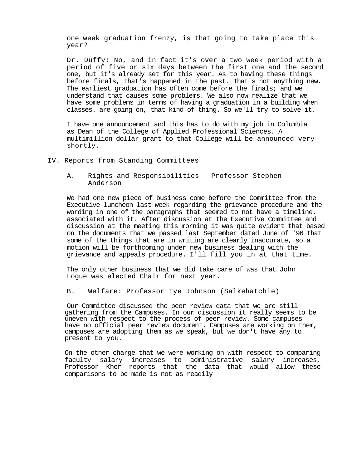one week graduation frenzy, is that going to take place this year?

Dr. Duffy: No, and in fact it's over a two week period with a period of five or six days between the first one and the second one, but it's already set for this year. As to having these things before finals, that's happened in the past. That's not anything new. The earliest graduation has often come before the finals; and we understand that causes some problems. We also now realize that we have some problems in terms of having a graduation in a building when classes. are going on, that kind of thing. So we'll try to solve it.

I have one announcement and this has to do with my job in Columbia as Dean of the College of Applied Professional Sciences. A multimillion dollar grant to that College will be announced very shortly.

- IV. Reports from Standing Committees
	- A. Rights and Responsibilities Professor Stephen Anderson

We had one new piece of business come before the Committee from the Executive luncheon last week regarding the grievance procedure and the wording in one of the paragraphs that seemed to not have a timeline. associated with it. After discussion at the Executive Committee and discussion at the meeting this morning it was quite evident that based on the documents that we passed last September dated June of '96 that some of the things that are in writing are clearly inaccurate, so a motion will be forthcoming under new business dealing with the grievance and appeals procedure. I'll fill you in at that time.

The only other business that we did take care of was that John Logue was elected Chair for next year.

B. Welfare: Professor Tye Johnson (Salkehatchie)

Our Committee discussed the peer review data that we are still gathering from the Campuses. In our discussion it really seems to be uneven with respect to the process of peer review. Some campuses have no official peer review document. Campuses are working on them, campuses are adopting them as we speak, but we don't have any to present to you.

On the other charge that we were working on with respect to comparing faculty salary increases to administrative salary increases, Professor Kher reports that the data that would allow these comparisons to be made is not as readily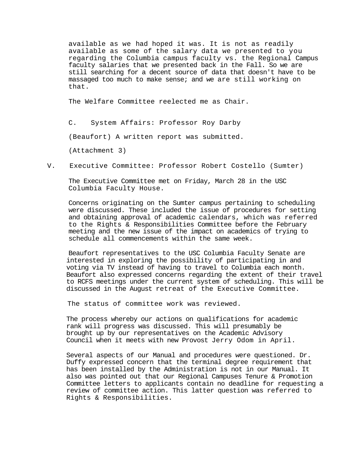available as we had hoped it was. It is not as readily available as some of the salary data we presented to you regarding the Columbia campus faculty vs. the Regional Campus faculty salaries that we presented back in the Fall. So we are still searching for a decent source of data that doesn't have to be massaged too much to make sense; and we are still working on that.

The Welfare Committee reelected me as Chair.

C. System Affairs: Professor Roy Darby

(Beaufort) A written report was submitted.

(Attachment 3)

V. Executive Committee: Professor Robert Costello (Sumter)

The Executive Committee met on Friday, March 28 in the USC Columbia Faculty House.

Concerns originating on the Sumter campus pertaining to scheduling were discussed. These included the issue of procedures for setting and obtaining approval of academic calendars, which was referred to the Rights & Responsibilities Committee before the February meeting and the new issue of the impact on academics of trying to schedule all commencements within the same week.

Beaufort representatives to the USC Columbia Faculty Senate are interested in exploring the possibility of participating in and voting via TV instead of having to travel to Columbia each month. Beaufort also expressed concerns regarding the extent of their travel to RCFS meetings under the current system of scheduling. This will be discussed in the August retreat of the Executive Committee.

The status of committee work was reviewed.

The process whereby our actions on qualifications for academic rank will progress was discussed. This will presumably be brought up by our representatives on the Academic Advisory Council when it meets with new Provost Jerry Odom in April.

Several aspects of our Manual and procedures were questioned. Dr. Duffy expressed concern that the terminal degree requirement that has been installed by the Administration is not in our Manual. It also was pointed out that our Regional Campuses Tenure & Promotion Committee letters to applicants contain no deadline for requesting a review of committee action. This latter question was referred to Rights & Responsibilities.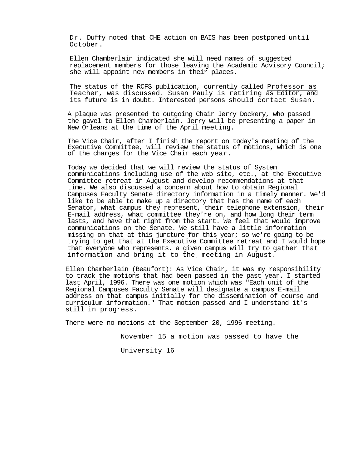Dr. Duffy noted that CHE action on BAIS has been postponed until October.

Ellen Chamberlain indicated she will need names of suggested replacement members for those leaving the Academic Advisory Council; she will appoint new members in their places.

The status of the RCFS publication, currently called Professor as Teacher, was discussed. Susan Pauly is retiring as Editor, and its future is in doubt. Interested persons should contact Susan.

A plaque was presented to outgoing Chair Jerry Dockery, who passed the gavel to Ellen Chamberlain. Jerry will be presenting a paper in New Orleans at the time of the April meeting.

The Vice Chair, after I finish the report on today's meeting of the Executive Committee, will review the status of motions, which is one of the charges for the Vice Chair each year.

Today we decided that we will review the status of System communications including use of the web site, etc., at the Executive Committee retreat in August and develop recommendations at that time. We also discussed a concern about how to obtain Regional Campuses Faculty Senate directory information in a timely manner. We'd like to be able to make up a directory that has the name of each Senator, what campus they represent, their telephone extension, their E-mail address, what committee they're on, and how long their term lasts, and have that right from the start. We feel that would improve communications on the Senate. We still have a little information missing on that at this juncture for this year; so we're going to be trying to get that at the Executive Committee retreat and I would hope that everyone who represents. a given campus will try to gather that information and bring it to the. meeting in August.

Ellen Chamberlain (Beaufort): As Vice Chair, it was my responsibility to track the motions that had been passed in the past year. I started last April, 1996. There was one motion which was "Each unit of the Regional Campuses Faculty Senate will designate a campus E-mail address on that campus initially for the dissemination of course and curriculum information." That motion passed and I understand it's still in progress.

There were no motions at the September 20, 1996 meeting.

November 15 a motion was passed to have the

University 16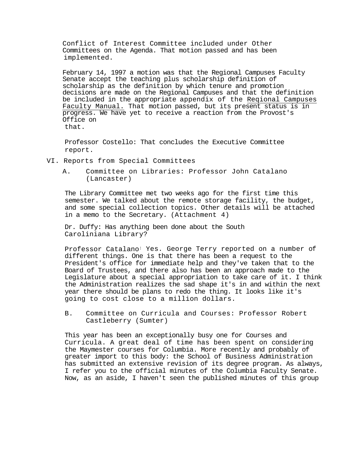Conflict of Interest Committee included under Other Committees on the Agenda. That motion passed and has been implemented.

February 14, 1997 a motion was that the Regional Campuses Faculty Senate accept the teaching plus scholarship definition of scholarship as the definition by which tenure and promotion decisions are made on the Regional Campuses and that the definition be included in the appropriate appendix of the Reqional Campuses Faculty Manual. That motion passed, but its present status is in progress. We have yet to receive a reaction from the Provost's Office on that.

Professor Costello: That concludes the Executive Committee report.

- VI. Reports from Special Committees
	- A. Committee on Libraries: Professor John Catalano (Lancaster)

The Library Committee met two weeks ago for the first time this semester. We talked about the remote storage facility, the budget, and some special collection topics. Other details will be attached in a memo to the Secretary. (Attachment 4)

Dr. Duffy: Has anything been done about the South Caroliniana Library?

Professor Catalano: Yes. George Terry reported on a number of different things. One is that there has been a request to the President's office for immediate help and they've taken that to the Board of Trustees, and there also has been an approach made to the Legislature about a special appropriation to take care of it. I think the Administration realizes the sad shape it's in and within the next year there should be plans to redo the thing. It looks like it's going to cost close to a million dollars.

B. Committee on Curricula and Courses: Professor Robert Castleberry (Sumter)

This year has been an exceptionally busy one for Courses and Curricula. A great deal of time has been spent on considering the Maymester courses for Columbia. More recently and probably of greater import to this body: the School of Business Administration has submitted an extensive revision of its degree program. As always, I refer you to the official minutes of the Columbia Faculty Senate. Now, as an aside, I haven't seen the published minutes of this group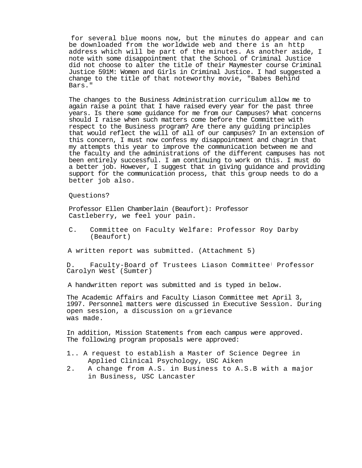for several blue moons now, but the minutes do appear and can be downloaded from the worldwide web and there is an http address which will be part of the minutes. As another aside, I note with some disappointment that the School of Criminal Justice did not choose to alter the title of their Maymester course Criminal Justice 591M: Women and Girls in Criminal Justice. I had suggested a change to the title of that noteworthy movie, "Babes Behind Bars."

The changes to the Business Administration curriculum allow me to again raise a point that I have raised every year for the past three years. Is there some guidance for me from our Campuses? What concerns should I raise when such matters come before the Committee with respect to the Business program? Are there any guiding principles that would reflect the will of all of our campuses? In an extension of this concern, I must now confess my disappointment and chagrin that my attempts this year to improve the communication between me and the faculty and the administrations of the different campuses has not been entirely successful. I am continuing to work on this. I must do a better job. However, I suggest that in giving guidance and providing support for the communication process, that this group needs to do a better job also.

Questions?

Professor Ellen Chamberlain (Beaufort): Professor Castleberry, we feel your pain.

C. Committee on Faculty Welfare: Professor Roy Darby (Beaufort)

A written report was submitted. (Attachment 5)

D. Faculty-Board of Trustees Liason Committee: Professor Carolyn West (Sumter)

A handwritten report was submitted and is typed in below.

The Academic Affairs and Faculty Liason Committee met April 3, 1997. Personnel matters were discussed in Executive Session. During open session, a discussion on a grievance was made.

In addition, Mission Statements from each campus were approved. The following program proposals were approved:

- 1.. A request to establish a Master of Science Degree in Applied Clinical Psychology, USC Aiken
- 2. A change from A.S. in Business to A.S.B with a major in Business, USC Lancaster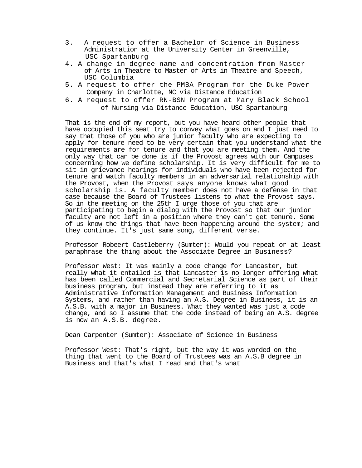- 3. A request to offer a Bachelor of Science in Business Administration at the University Center in Greenville, USC Spartanburg
- 4. A change in degree name and concentration from Master of Arts in Theatre to Master of Arts in Theatre and Speech, USC Columbia
- 5. A request to offer the PMBA Program for the Duke Power Company in Charlotte, NC via Distance Education
- 6. A request to offer RN-BSN Program at Mary Black School of Nursing via Distance Education, USC Spartanburg

That is the end of my report, but you have heard other people that have occupied this seat try to convey what goes on and I just need to say that those of you who are junior faculty who are expecting to apply for tenure need to be very certain that you understand what the requirements are for tenure and that you are meeting them. And the only way that can be done is if the Provost agrees with our Campuses concerning how we define scholarship. It is very difficult for me to sit in grievance hearings for individuals who have been rejected for tenure and watch faculty members in an adversarial relationship with the Provost, when the Provost says anyone knows what good scholarship is. A faculty member does not have a defense in that case because the Board of Trustees listens to what the Provost says. So in the meeting on the 25th I urge those of you that are participating to begin a dialog with the Provost so that our junior faculty are not left in a position where they can't get tenure. Some of us know the things that have been happening around the system; and they continue. It's just same song, different verse.

Professor Robeert Castleberry (Sumter): Would you repeat or at least paraphrase the thing about the Associate Degree in Business?

Professor West: It was mainly a code change for Lancaster, but really what it entailed is that Lancaster is no longer offering what has been called Commercial and Secretarial Science as part of their business program, but instead they are referring to it as Administrative Information Management and Business Information Systems, and rather than having an A.S. Degree in Business, it is an A.S.B. with a major in Business. What they wanted was just a code change, and so I assume that the code instead of being an A.S. degree is now an A.S.B. degree.

Dean Carpenter (Sumter): Associate of Science in Business

Professor West: That's right, but the way it was worded on the thing that went to the Board of Trustees was an A.S.B degree in Business and that's what I read and that's what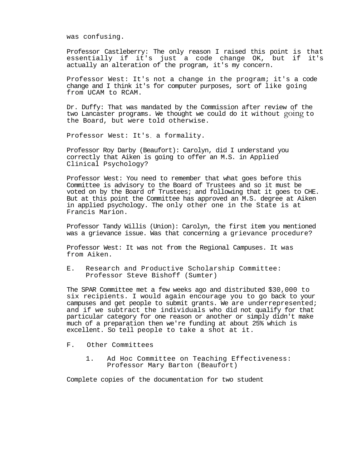was confusing.

Professor Castleberry: The only reason I raised this point is that<br>essentially if it's just a code change OK, but if it's essentially if it's just a code change OK, but if actually an alteration of the program, it's my concern.

Professor West: It's not a change in the program; it's a code change and I think it's for computer purposes, sort of like going from UCAM to RCAM.

Dr. Duffy: That was mandated by the Commission after review of the two Lancaster programs. We thought we could do it without going to the Board, but were told otherwise.

Professor West: It's. a formality.

Professor Roy Darby (Beaufort): Carolyn, did I understand you correctly that Aiken is going to offer an M.S. in Applied Clinical Psychology?

Professor West: You need to remember that what goes before this Committee is advisory to the Board of Trustees and so it must be voted on by the Board of Trustees; and following that it goes to CHE. But at this point the Committee has approved an M.S. degree at Aiken in applied psychology. The only other one in the State is at Francis Marion.

Professor Tandy Willis (Union): Carolyn, the first item you mentioned was a grievance issue. Was that concerning a grievance procedure?

Professor West: It was not from the Regional Campuses. It was from Aiken.

E. Research and Productive Scholarship Committee: Professor Steve Bishoff (Sumter)

The SPAR Committee met a few weeks ago and distributed \$30,000 to six recipients. I would again encourage you to go back to your campuses and get people to submit grants. We are underrepresented; and if we subtract the individuals who did not qualify for that particular category for one reason or another or simply didn't make much of a preparation then we're funding at about 25% which is excellent. So tell people to take a shot at it.

- F. Other Committees
	- 1. Ad Hoc Committee on Teaching Effectiveness: Professor Mary Barton (Beaufort)

Complete copies of the documentation for two student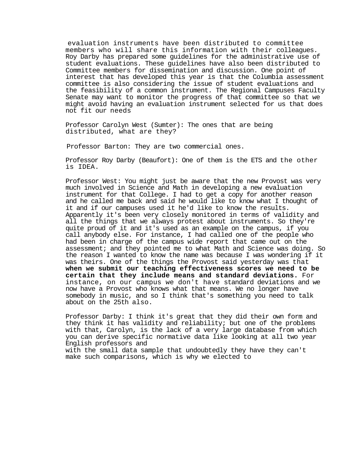evaluation instruments have been distributed to committee members who will share this information with their colleagues. Roy Darby has prepared some guidelines for the administrative use of student evaluations. These guidelines have also been distributed to Committee members for dissemination and discussion. One point of interest that has developed this year is that the Columbia assessment committee is also considering the issue of student evaluations and the feasibility of a common instrument. The Regional Campuses Faculty Senate may want to monitor the progress of that committee so that we might avoid having an evaluation instrument selected for us that does not fit our needs

Professor Carolyn West (Sumter): The ones that are being distributed, what are they?

Professor Barton: They are two commercial ones.

Professor Roy Darby (Beaufort): One of them is the ETS and the other is IDEA.

Professor West: You might just be aware that the new Provost was very much involved in Science and Math in developing a new evaluation instrument for that College. I had to get a copy for another reason and he called me back and said he would like to know what I thought of it and if our campuses used it he'd like to know the results. Apparently it's been very closely monitored in terms of validity and all the things that we always protest about instruments. So they're quite proud of it and it's used as an example on the campus, if you call anybody else. For instance, I had called one of the people who had been in charge of the campus wide report that came out on the assessment; and they pointed me to what Math and Science was doing. So the reason I wanted to know the name was because I was wondering if it was theirs. One of the things the Provost said yesterday was that **when we submit our teaching effectiveness scores we need to be certain that they include means and standard deviations.** For instance, on our campus we don't have standard deviations and we now have a Provost who knows what that means. We no longer have somebody in music, and so I think that's something you need to talk about on the 25th also.

Professor Darby: I think it's great that they did their own form and they think it has validity and reliability; but one of the problems with that, Carolyn, is the lack of a very large database from which you can derive specific normative data like looking at all two year English professors and

with the small data sample that undoubtedly they have they can't make such comparisons, which is why we elected to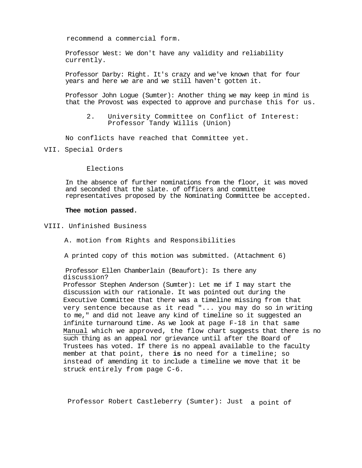recommend a commercial form.

Professor West: We don't have any validity and reliability currently.

Professor Darby: Right. It's crazy and we've known that for four years and here we are and we still haven't gotten it.

Professor John Logue (Sumter): Another thing we may keep in mind is that the Provost was expected to approve and purchase this for us.

2. University Committee on Conflict of Interest: Professor Tandy Willis (Union)

No conflicts have reached that Committee yet.

VII. Special Orders

Elections

In the absence of further nominations from the floor, it was moved and seconded that the slate. of officers and committee representatives proposed by the Nominating Committee be accepted.

#### **Thee motion passed.**

VIII. Unfinished Business

A. motion from Rights and Responsibilities

A printed copy of this motion was submitted. (Attachment 6)

Professor Ellen Chamberlain (Beaufort): Is there any discussion? Professor Stephen Anderson (Sumter): Let me if I may start the discussion with our rationale. It was pointed out during the Executive Committee that there was a timeline missing from that very sentence because as it read "... you may do so in writing to me," and did not leave any kind of timeline so it suggested an infinite turnaround time. As we look at page F-18 in that same Manual which we approved, the flow chart suggests that there is no such thing as an appeal nor grievance until after the Board of Trustees has voted. If there is no appeal available to the faculty member at that point, there **is** no need for a timeline; so instead of amending it to include a timeline we move that it be struck entirely from page C-6.

Professor Robert Castleberry (Sumter): Just a point of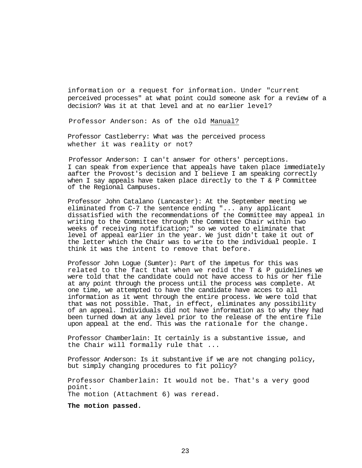information or a request for information. Under "current perceived processes" at what point could someone ask for a review of a decision? Was it at that level and at no earlier level?

Professor Anderson: As of the old Manual?

Professor Castleberry: What was the perceived process whether it was reality or not?

Professor Anderson: I can't answer for others' perceptions. I can speak from experience that appeals have taken place immediately aafter the Provost's decision and I believe I am speaking correctly when I say appeals have taken place directly to the T & P Committee of the Regional Campuses.

Professor John Catalano (Lancaster): At the September meeting we eliminated from C-7 the sentence ending "... any applicant dissatisfied with the recommendations of the Committee may appeal in writing to the Committee through the Committee Chair within two weeks of receiving notification;" so we voted to eliminate that level of appeal earlier in the year. We just didn't take it out of the letter which the Chair was to write to the individual people. I think it was the intent to remove that before.

Professor John Logue (Sumter): Part of the impetus for this was related to the fact that when we redid the T & P guidelines we were told that the candidate could not have access to his or her file at any point through the process until the process was complete. At one time, we attempted to have the candidate have acces to all information as it went through the entire process. We were told that that was not possible. That, in effect, eliminates any possibility of an appeal. Individuals did not have information as to why they had been turned down at any level prior to the release of the entire file upon appeal at the end. This was the rationale for the change.

Professor Chamberlain: It certainly is a substantive issue, and the Chair will formally rule that ...

Professor Anderson: Is it substantive if we are not changing policy, but simply changing procedures to fit policy?

Professor Chamberlain: It would not be. That's a very good point. The motion (Attachment 6) was reread.

**The motion passed.**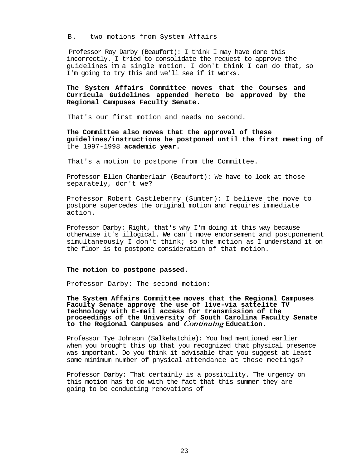B. two motions from System Affairs

Professor Roy Darby (Beaufort): I think I may have done this incorrectly. I tried to consolidate the request to approve the guidelines in a single motion. I don't think I can do that, so I'm going to try this and we'll see if it works.

#### **The System Affairs Committee moves that the Courses and Curricula Guidelines appended hereto be approved by the Regional Campuses Faculty Senate.**

That's our first motion and needs no second.

**The Committee also moves that the approval of these guidelines/instructions be postponed until the first meeting of**  the 1997-1998 **academic year.**

That's a motion to postpone from the Committee.

Professor Ellen Chamberlain (Beaufort): We have to look at those separately, don't we?

Professor Robert Castleberry (Sumter): I believe the move to postpone supercedes the original motion and requires immediate action.

Professor Darby: Right, that's why I'm doing it this way because otherwise it's illogical. We can't move endorsement and postponement simultaneously I don't think; so the motion as I understand it on the floor is to postpone consideration of that motion.

#### **The motion to postpone passed.**

Professor Darby: The second motion:

**The System Affairs Committee moves that the Regional Campuses Faculty Senate approve the use of live-via sattelite TV technology with E-mail access for transmission of the proceedings of the University of South Carolina Faculty Senate to the Regional Campuses and** Continuing **Education.**

Professor Tye Johnson (Salkehatchie): You had mentioned earlier when you brought this up that you recognized that physical presence was important. Do you think it advisable that you suggest at least some minimum number of physical attendance at those meetings?

Professor Darby: That certainly is a possibility. The urgency on this motion has to do with the fact that this summer they are going to be conducting renovations of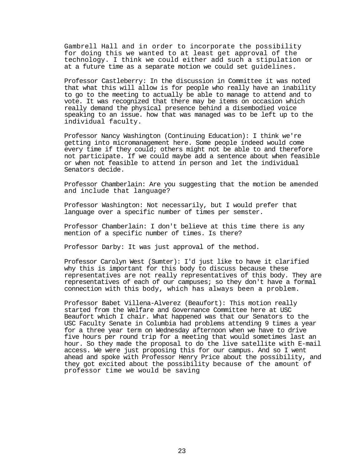Gambrell Hall and in order to incorporate the possibility for doing this we wanted to at least get approval of the technology. I think we could either add such a stipulation or at a future time as a separate motion we could set guidelines.

Professor Castleberry: In the discussion in Committee it was noted that what this will allow is for people who really have an inability to go to the meeting to actually be able to manage to attend and to vote. It was recognized that there may be items on occasion which really demand the physical presence behind a disembodied voice speaking to an issue. how that was managed was to be left up to the individual faculty.

Professor Nancy Washington (Continuing Education): I think we're getting into micromanagement here. Some people indeed would come every time if they could; others might not be able to and therefore not participate. If we could maybe add a sentence about when feasible or when not feasible to attend in person and let the individual Senators decide.

Professor Chamberlain: Are you suggesting that the motion be amended and include that language?

Professor Washington: Not necessarily, but I would prefer that language over a specific number of times per semster.

Professor Chamberlain: I don't believe at this time there is any mention of a specific number of times. Is there?

Professor Darby: It was just approval of the method.

Professor Carolyn West (Sumter): I'd just like to have it clarified why this is important for this body to discuss because these representatives are not really representatives of this body. They are representatives of each of our campuses; so they don't have a formal connection with this body, which has always been a problem.

Professor Babet Villena-Alverez (Beaufort): This motion really started from the Welfare and Governance Committee here at USC Beaufort which I chair. What happened was that our Senators to the USC Faculty Senate in Columbia had problems attending 9 times a year for a three year term on Wednesday afternoon when we have to drive five hours per round trip for a meeting that would sometimes last an hour. So they made the proposal to do the live satellite with E-mail access. We were just proposing this for our campus. And so I went ahead and spoke with Professor Henry Price about the possibility, and they got excited about the possibility because of the amount of professor time we would be saving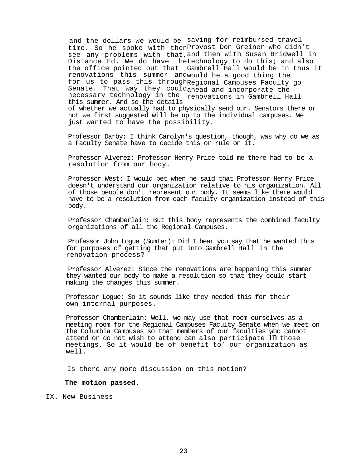and the dollars we would be saving for reimbursed travel time. So he spoke with then Provost Don Greiner who didn't see any problems with that, and then with Susan Bridwell in Distance Ed. We do have the technology to do this; and also the office pointed out that Gambrell Hall would be in thus it renovations this summer andwould be a good thing the for us to pass this through Regional Campuses Faculty go Senate. That way they could<sub>ahead and incorporate the senator was the senator of the senator of the senator of</sub> necessary technology in the renovations in Gambrell Hall<br>this summore lud so the details this summer. And so the details of whether we actually had to physically send our. Senators there or not we first suggested will be up to the individual campuses. We just wanted to have the possibility.

Professor Darby: I think Carolyn's question, though, was why do we as a Faculty Senate have to decide this or rule on it.

Professor Alverez: Professor Henry Price told me there had to be a resolution from our body.

Professor West: I would bet when he said that Professor Henry Price doesn't understand our organization relative to his organization. All of those people don't represent our body. It seems like there would have to be a resolution from each faculty organization instead of this body.

Professor Chamberlain: But this body represents the combined faculty organizations of all the Regional Campuses.

Professor John Logue (Sumter): Did I hear you say that he wanted this for purposes of getting that put into Gambrell Hall in the renovation process?

Professor Alverez: Since the renovations are happening this summer they wanted our body to make a resolution so that they could start making the changes this summer.

Professor Logue: So it sounds like they needed this for their own internal purposes.

Professor Chamberlain: Well, we may use that room ourselves as a meeting room for the Regional Campuses Faculty Senate when we meet on the Columbia Campuses so that members of our faculties who cannot attend or do not wish to attend can also participate  $1n$  those meetings. So it would be of benefit to' our organization as well.

Is there any more discussion on this motion?

#### **The motion passed.**

IX. New Business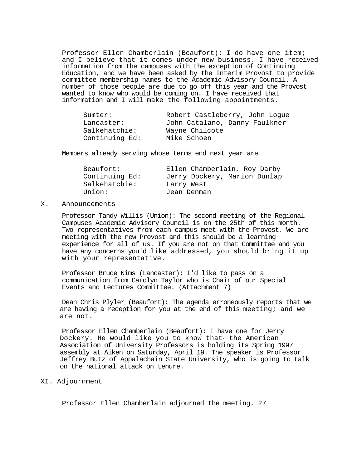Professor Ellen Chamberlain (Beaufort): I do have one item; and I believe that it comes under new business. I have received information from the campuses with the exception of Continuing Education, and we have been asked by the Interim Provost to provide committee membership names to the Academic Advisory Council. A number of those people are due to go off this year and the Provost wanted to know who would be coming on. I have received that information and I will make the following appointments.

| Sumter:        | Robert Castleberry, John Loque |
|----------------|--------------------------------|
| Lancaster:     | John Catalano, Danny Faulkner  |
| Salkehatchie:  | Wayne Chilcote                 |
| Continuing Ed: | Mike Schoen                    |

Members already serving whose terms end next year are

| Beaufort:      | Ellen Chamberlain, Roy Darby |
|----------------|------------------------------|
| Continuing Ed: | Jerry Dockery, Marion Dunlap |
| Salkehatchie:  | Larry West                   |
| Union:         | Jean Denman                  |

#### X. Announcements

Professor Tandy Willis (Union): The second meeting of the Regional Campuses Academic Advisory Council is on the 25th of this month. Two representatives from each campus meet with the Provost. We are meeting with the new Provost and this should be a learning experience for all of us. If you are not on that Committee and you have any concerns you'd like addressed, you should bring it up with your representative.

Professor Bruce Nims (Lancaster): I'd like to pass on a communication from Carolyn Taylor who is Chair of our Special Events and Lectures Committee. (Attachment 7)

Dean Chris Plyler (Beaufort): The agenda erroneously reports that we are having a reception for you at the end of this meeting; and we are not.

Professor Ellen Chamberlain (Beaufort): I have one for Jerry Dockery. He would like you to know that the American Association of University Professors is holding its Spring 1997 assembly at Aiken on Saturday, April 19. The speaker is Professor Jeffrey Butz of Appalachain State University, who is going to talk on the national attack on tenure.

#### XI. Adjournment

Professor Ellen Chamberlain adjourned the meeting. 27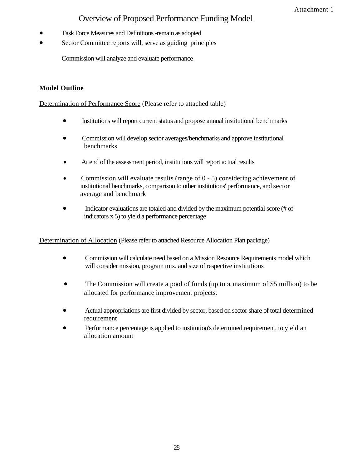# Overview of Proposed Performance Funding Model

- Task Force Measures and Definitions -remain as adopted
- Sector Committee reports will, serve as guiding principles

Commission will analyze and evaluate performance

# **Model Outline**

Determination of Performance Score (Please refer to attached table)

- Institutions will report current status and propose annual institutional benchmarks
- Commission will develop sector averages/benchmarks and approve institutional benchmarks
- At end of the assessment period, institutions will report actual results
- Commission will evaluate results (range of 0 5) considering achievement of institutional benchmarks, comparison to other institutions' performance, and sector average and benchmark
- Indicator evaluations are totaled and divided by the maximum potential score (# of indicators x 5) to yield a performance percentage

Determination of Allocation (Please refer to attached Resource Allocation Plan package)

- Commission will calculate need based on a Mission Resource Requirements model which will consider mission, program mix, and size of respective institutions
- The Commission will create a pool of funds (up to a maximum of \$5 million) to be allocated for performance improvement projects.
- Actual appropriations are first divided by sector, based on sector share of total determined requirement
- Performance percentage is applied to institution's determined requirement, to yield an allocation amount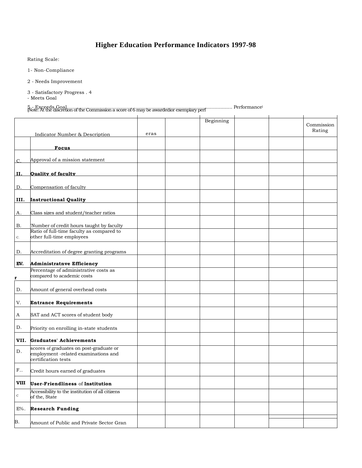# **Higher Education Performance Indicators 1997-98**

Rating Scale:

1- Non-Compliance

2 - Needs Improvement

3 - Satisfactory Progress . 4

- Meets Goal

### 5 - Exceeds Goal.......<br>[Note: At the discretion of the Commission a score of 6 may be awardedior exemplary perf …………….. Performance)

|             |                                                                                                        |      | Beginning |  | Commission<br>Rating |
|-------------|--------------------------------------------------------------------------------------------------------|------|-----------|--|----------------------|
|             | <b>Indicator Number &amp; Description</b>                                                              | eras |           |  |                      |
|             | <b>Focus</b>                                                                                           |      |           |  |                      |
| C           | Approval of a mission statement                                                                        |      |           |  |                      |
| II.         | <b>Quality of faculty</b>                                                                              |      |           |  |                      |
| D.          | Compensation of faculty                                                                                |      |           |  |                      |
| III.        | <b>Instructional Quality</b>                                                                           |      |           |  |                      |
| Α.          | Class sizes and student/teacher ratios                                                                 |      |           |  |                      |
| В.          | Number of credit hours taught by faculty<br>Ratio of full-time faculty as compared to                  |      |           |  |                      |
| C.          | other full-time employees                                                                              |      |           |  |                      |
| D.          | Accreditation of degree granting programs                                                              |      |           |  |                      |
| EV.         | <b>Administratnve Efficiency</b>                                                                       |      |           |  |                      |
| r           | Percentage of administrative costs as<br>compared to academic costs                                    |      |           |  |                      |
| D.          | Amount of general overhead costs                                                                       |      |           |  |                      |
| V.          | <b>Entrance Requirements</b>                                                                           |      |           |  |                      |
| A           | SAT and ACT scores of student body                                                                     |      |           |  |                      |
| D.          | Priority on enrolling in-state students                                                                |      |           |  |                      |
| VII.        | <b>Graduates' Achievements</b>                                                                         |      |           |  |                      |
| D.          | scores of graduates on post-graduate or<br>employment -related examinations and<br>certification tests |      |           |  |                      |
| F.          | Credit hours earned of graduates                                                                       |      |           |  |                      |
| VIII        | <b>User-Friendliness of Institution</b>                                                                |      |           |  |                      |
| $\mathbf C$ | Accessibility to the institution of all citizens<br>of the, State                                      |      |           |  |                      |
| $E\%$ .     | <b>Research Funding</b>                                                                                |      |           |  |                      |
| Β.          | Amount of Public and Private Sector Gran                                                               |      |           |  |                      |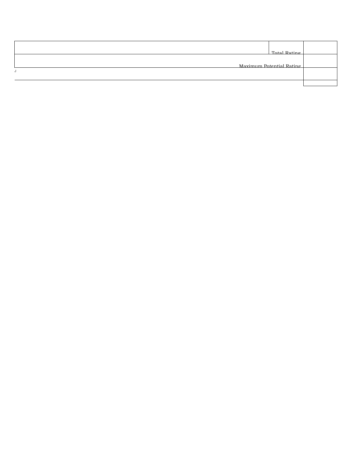| Total Rating             |  |
|--------------------------|--|
| Maximum Potential Rating |  |
|                          |  |
|                          |  |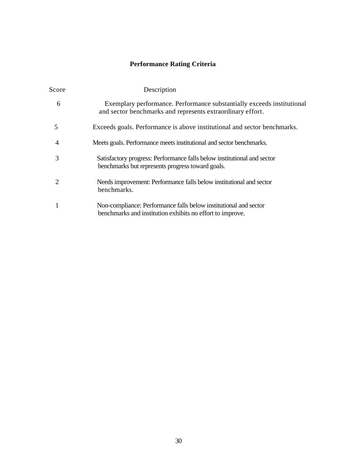# **Performance Rating Criteria**

| Score | Description                                                                                                                          |
|-------|--------------------------------------------------------------------------------------------------------------------------------------|
| 6     | Exemplary performance. Performance substantially exceeds institutional<br>and sector benchmarks and represents extraordinary effort. |
| 5     | Exceeds goals. Performance is above institutional and sector benchmarks.                                                             |
| 4     | Meets goals. Performance meets institutional and sector benchmarks.                                                                  |
| 3     | Satisfactory progress: Performance falls below institutional and sector<br>benchmarks but represents progress toward goals.          |
| 2     | Needs improvement: Performance falls below institutional and sector<br>benchmarks.                                                   |
|       | Non-compliance: Performance falls below institutional and sector<br>benchmarks and institution exhibits no effort to improve.        |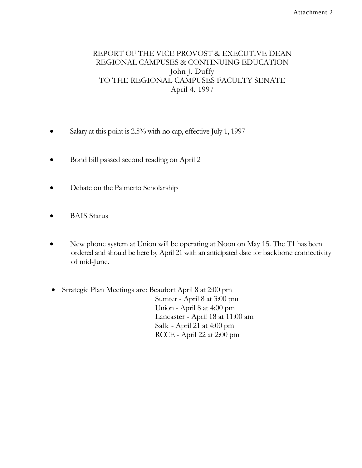# REPORT OF THE VICE PROVOST & EXECUTIVE DEAN REGIONAL CAMPUSES & CONTINUING EDUCATION John J. Duffy TO THE REGIONAL CAMPUSES FACULTY SENATE April 4, 1997

- Salary at this point is 2.5% with no cap, effective July 1, 1997
- Bond bill passed second reading on April 2
- Debate on the Palmetto Scholarship
- BAIS Status
- New phone system at Union will be operating at Noon on May 15. The T1 has been ordered and should be here by April 21 with an anticipated date for backbone connectivity of mid-June.
- Strategic Plan Meetings are: Beaufort April 8 at 2:00 pm Sumter - April 8 at 3:00 pm Union - April 8 at 4:00 pm Lancaster - April 18 at 11:00 am Salk - April 21 at 4:00 pm RCCE - April 22 at 2:00 pm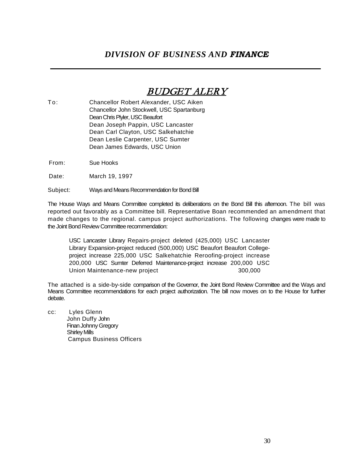# *DIVISION OF BUSINESS AND FINANCE*

# BUDGET ALERY

- To: Chancellor Robert Alexander, USC Aiken Chancellor John Stockwell, USC Spartanburg Dean Chris Plyler, USC Beaufort Dean Joseph Pappin, USC Lancaster Dean Carl Clayton, USC Salkehatchie Dean Leslie Carpenter, USC Sumter Dean James Edwards, USC Union
- From: Sue Hooks

Date: March 19, 1997

Subject: Ways and Means Recommendation for Bond Bill

The House Ways and Means Committee completed its deliberations on the Bond Bill this afternoon. The bill was reported out favorably as a Committee bill. Representative Boan recommended an amendment that made changes to the regional. campus project authorizations. The following changes were made to the Joint Bond Review Committee recommendation:

USC Lancaster Library Repairs-project deleted (425,000) USC Lancaster Library Expansion-project reduced (500,000) USC Beaufort Beaufort Collegeproject increase 225,000 USC Salkehatchie Reroofing-project increase 200,000 USC Sumter Deferred Maintenance-project increase 200,000 USC Union Maintenance-new project 300,000

The attached is a side-by-side comparison of the Governor, the Joint Bond Review Committee and the Ways and Means Committee recommendations for each project authorization. The bill now moves on to the House for further debate.

cc: Lyles Glenn John Duffy John Finan Johnny Gregory Shirley Mills Campus Business Officers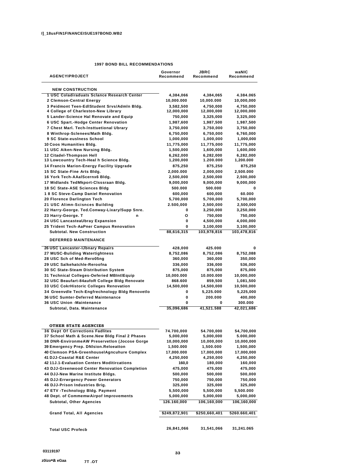#### **1997 BOND BILL RECOMMENDATIONS**

| <b>AGENCYIPROJECT</b>                                                                    | Governor<br>Recommend   | JBRC<br>Recommend       | waNIC<br>Recommend      |
|------------------------------------------------------------------------------------------|-------------------------|-------------------------|-------------------------|
|                                                                                          |                         |                         |                         |
| <b>NEW CONSTRUCTION</b>                                                                  |                         |                         |                         |
| 1 USC Coladiraduats Sclance Research Center<br>2 Clemson-Central Energy                  | 4,384,066<br>10,000.000 | 4,384,065<br>10,000.000 | 4.384.065<br>10,000,000 |
| 3 Peidmont Teen-EdlStudent Srvs/Admln Bldg.                                              | 3,582,500               | 4,750,000               | 4,750,000               |
| 4 College of Charleston-New Library                                                      | 12,000,000              | 12,000,000              | 12,000,000              |
| 5 Lander-Science Hal Renovate and Equip                                                  | 750,000                 | 3,325,000               | 3,325,000               |
| 6 USC Spart.-Hodge Center Renovation                                                     | 1,987,600               | 1,987,500               | 1,987,500               |
| 7 Chest Marl. Tech-Insttuetional Ubrary                                                  | 3,750,000               | 3,750,000               | 3,750,000               |
| 8 Winthrop-Sclenees/Math Bldg.                                                           | 6,750,000               | 6,750,000               | 6,760,000               |
| 9 SC State-eusiness School                                                               | 1,000,000               | 1,000,000               | 1,000,000               |
| 10 Coos Humanities Bldg.                                                                 | 11,775,000              | 11,775,000              | 11,775,000              |
| 11 USC Aiken-New Nursing Bldg.<br>12 Citadel-Thompson Hell                               | 1,500,000               | 1,600,000               | 1,600,000               |
| 13 Lowcountry Tech-Heal h Science Bldg.                                                  | 6,262,000<br>1,200,000  | 6,282,000<br>1.200.000  | 6,282,000<br>1,200.000  |
| 14 Francis Marion-Energy Facility Upgrade                                                | 875,250                 | 875,250                 | 875,250                 |
| 15 SC State-Fine Arts Bldg.                                                              | 2,000.000               | 2,000,000               | 2,500.000               |
| 16 York Tech-AAalScernx6 Bldg.                                                           | 2,500,000               | 2,500,000               | 2,500,000               |
| 17 Midlands TedMkport-Clsssraan Bldg.                                                    | 9,000,000               | 9,000,000               | 9,000,000               |
| 18 SC State-ASE Sciences Bldg                                                            | 500.000                 | 500.000                 | 0                       |
| 18 SC Steve-Camp Daniel Renovation                                                       | 600,000                 | 600,000                 | 60.000                  |
| 20 Florence Darlington Tech                                                              | 5,700,000               | 5,700,000               | 5,700,000               |
| 21 USC Alimn-Scisnces Building                                                           | 2.500,000               | 2,500,000               | 2,500,000               |
| 22 Harry-George. Ted.Conway-Lixary/Supp Snre.                                            | 0                       | 3,250,000               | 3,250,000               |
| 23 Harry-George, T<br>n                                                                  | О                       | 750,000                 | 750,000                 |
| 24 USC LancasteaUbray Expansion                                                          | 0                       | 4,500,000               | 4,000,000               |
| 25 Trident Tech-AaPner Campus Renovation<br><b>Subtotal, New Construction</b>            | 0                       | 3,100,000               | 3,100,000               |
|                                                                                          | 88,616,315              | 103,978,816             | 103,478,816             |
| <b>DEFERRED MAINTENANCE</b>                                                              |                         |                         |                         |
| 26 USC Lancaster-IJbnary Repairs                                                         | 428,000                 | 425.000                 | 0                       |
| 27 MUSC-Buliding Watertightness                                                          | 8,752,086               | 8,752,086               | 8,752,088               |
| 28 USC Sch of Med-Rero05ng                                                               | 360,000                 | 360,000                 | 350,000                 |
| 29 USC Salkehatchle-Reroofna                                                             | 336,000                 | 336,000                 | 536,000                 |
| 30 SC State-Steam Distribution System                                                    | 875,000                 | 875,000                 | 875,000                 |
| 31 Technical Colleges-Oeferied MBIntlEquip                                               | 10,000.000              | 10.000.000              | 10,000,000              |
| 32 USC Beaufart-84aufoR College Bldg Renovate<br>33 USC CokrHistoric Colleges Renovation | 868.600<br>14,500,000   | 859,500<br>14,500,000   | 1,081,500<br>10,500,000 |
| 34 Greenvdle Tech-Engfrechnology Bldg Renovetlo                                          | 0                       | 5,225.000               | 5,225,000               |
| 36 USC Sumter-Deferred Maintenance                                                       | 0                       | 200.000                 | 400,000                 |
| <b>36 USC Union -Maintenance</b>                                                         | 0                       | 0                       | 300.000                 |
| Subtotal, Data. Maintenance                                                              | 35,096,686              | 41,521.588              | 42,021,686              |
|                                                                                          |                         |                         |                         |
| <b>OTHER STATE AGENCIES</b>                                                              |                         |                         |                         |
| <b>36 Dept Of Corrections Fadlites</b>                                                   | 74.700,000              | 54.700,000              | 54,700,000              |
| 37 School Math & Scene. New Bidg Final 2 Phases                                          | 5,000,000               | 5,000,000               | 5.000,000               |
| 38 DNR-EnvironmeAW Preservetlon (Jocose Gorge                                            | 10,000,000              | 10,000,000              | 10,000,000              |
| 39 Emergency Prep. DNIsion.Reloeatton                                                    | 1,500.000               | 1,500.000               | 1,500,000               |
| 40 Clemson PSA-GreenhouselAgncuhure Complex                                              | 17,000.000              | 17,000,000              | 17,000,000              |
| 41 DJJ-Coastal R&E Center                                                                | 4,250,000               | 4,250,000               | 4,250,000               |
| 42 11 J.1-Evaluation Centers Moditircations                                              | 160,0                   | 180,000                 | 160,000                 |
| 43 DJJ-Greenwood Center Renovation Completion                                            | 475,000                 | 475,000                 | 475,000                 |
| 44 DJJ-New Marine Institute Bldgs.                                                       | 500,000                 | 500,000                 | 500,000                 |
| 45 DJJ-Errwrgency Power Generators<br>46 DJJ-Prison Industries Brig.                     | 750,000<br>325,000      | 750,000<br>325,000      | 750,000<br>325,000      |
| 47 ETV - Technology Bldg. Payment                                                        | 5,500,000               | 5,500,000               | 5,500.000               |
| 48 Dept. of CommemwAirpof Improvements                                                   | 5,000,000               | 5,000,000               | 5,000,000               |
| Subtotal, Other Agencies                                                                 | 126.160,000             | 106,160,000             | 106,160,000             |
|                                                                                          |                         |                         |                         |
| <b>Grand Total, All Agencies</b>                                                         | \$249,872,901           | \$250,660,401           | 5260.660,401            |
|                                                                                          |                         |                         |                         |
| <b>Total USC Profecb</b>                                                                 | 26,841,066              | 31,541,066              | 31,241.065              |
|                                                                                          |                         |                         |                         |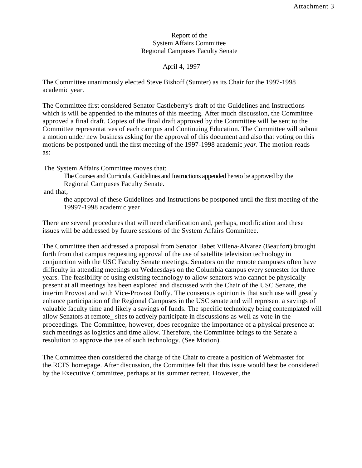### Report of the System Affairs Committee Regional Campuses Faculty Senate

April 4, 1997

The Committee unanimously elected Steve Bishoff (Sumter) as its Chair for the 1997-1998 academic year.

The Committee first considered Senator Castleberry's draft of the Guidelines and Instructions which is will be appended to the minutes of this meeting. After much discussion, the Committee approved a final draft. Copies of the final draft approved by the Committee will be sent to the Committee representatives of each campus and Continuing Education. The Committee will submit a motion under new business asking for the approval of this document and also that voting on this motions be postponed until the first meeting of the 1997-1998 academic *year.* The motion reads as:

The System Affairs Committee moves that:

The Courses and Curricula, Guidelines and Instructions appended hereto be approved by the Regional Campuses Faculty Senate.

and that,

the approval of these Guidelines and Instructions be postponed until the first meeting of the 19997-1998 academic year.

There are several procedures that will need clarification and, perhaps, modification and these issues will be addressed by future sessions of the System Affairs Committee.

The Committee then addressed a proposal from Senator Babet Villena-Alvarez (Beaufort) brought forth from that campus requesting approval of the use of satellite television technology in conjunction with the USC Faculty Senate meetings. Senators on the remote campuses often have difficulty in attending meetings on Wednesdays on the Columbia campus every semester for three years. The feasibility of using existing technology to allow senators who cannot be physically present at all meetings has been explored and discussed with the Chair of the USC Senate, the interim Provost and with Vice-Provost Duffy. The consensus opinion is that such use will greatly enhance participation of the Regional Campuses in the USC senate and will represent a savings of valuable faculty time and likely a savings of funds. The specific technology being contemplated will allow Senators at remote\_ sites to actively participate in discussions as well as vote in the proceedings. The Committee, however, does recognize the importance of a physical presence at such meetings as logistics and time allow. Therefore, the Committee brings to the Senate a resolution to approve the use of such technology. (See Motion).

The Committee then considered the charge of the Chair to create a position of Webmaster for the.RCFS homepage. After discussion, the Committee felt that this issue would best be considered by the Executive Committee, perhaps at its summer retreat. However, the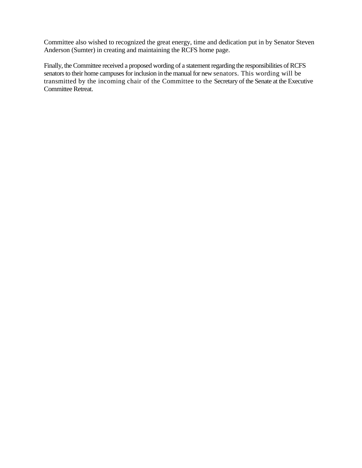Committee also wished to recognized the great energy, time and dedication put in by Senator Steven Anderson (Sumter) in creating and maintaining the RCFS home page.

Finally, the Committee received a proposed wording of a statement regarding the responsibilities of RCFS senators to their home campuses for inclusion in the manual for new senators. This wording will be transmitted by the incoming chair of the Committee to the Secretary of the Senate at the Executive Committee Retreat.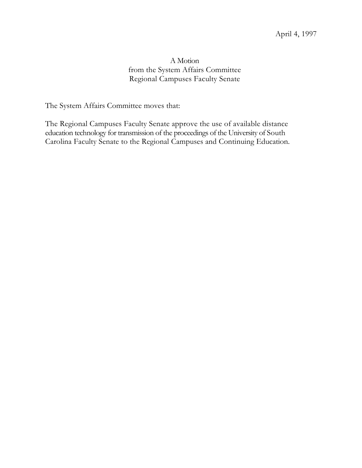# A Motion from the System Affairs Committee Regional Campuses Faculty Senate

The System Affairs Committee moves that:

The Regional Campuses Faculty Senate approve the use of available distance education technology for transmission of the proceedings of the University of South Carolina Faculty Senate to the Regional Campuses and Continuing Education.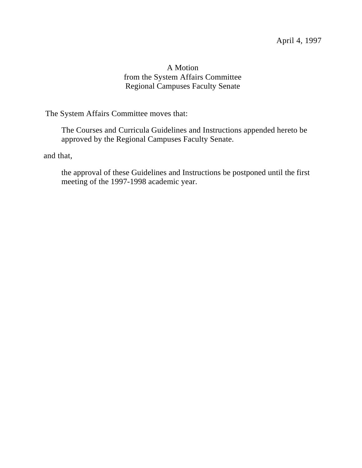# A Motion from the System Affairs Committee Regional Campuses Faculty Senate

The System Affairs Committee moves that:

The Courses and Curricula Guidelines and Instructions appended hereto be approved by the Regional Campuses Faculty Senate.

and that,

the approval of these Guidelines and Instructions be postponed until the first meeting of the 1997-1998 academic year.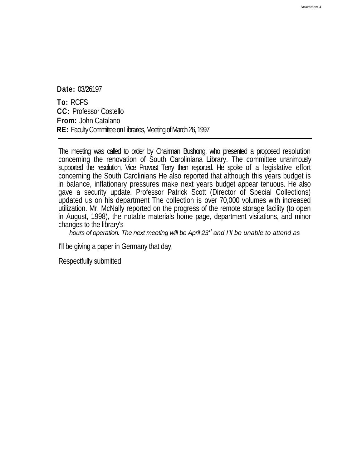**Date:** 03/26197

**To:** RCFS **CC:** Professor Costello **From:** John Catalano **RE:** Faculty Committee on Libraries, Meeting of March 26, 1997

The meeting was called to order by Chairman Bushong, who presented a proposed resolution concerning the renovation of South Caroliniana Library. The committee unanimously supported the resolution. Vice Provost Terry then reported. He spoke of a legislative effort concerning the South Carolinians He also reported that although this years budget is in balance, inflationary pressures make next years budget appear tenuous. He also gave a security update. Professor Patrick Scott (Director of Special Collections) updated us on his department The collection is over 70,000 volumes with increased utilization. Mr. McNally reported on the progress of the remote storage facility (to open in August, 1998), the notable materials home page, department visitations, and minor changes to the library's

*hours of operation. The next meeting will be April 23'd and I'll be unable to attend as*

I'll be giving a paper in Germany that day.

Respectfully submitted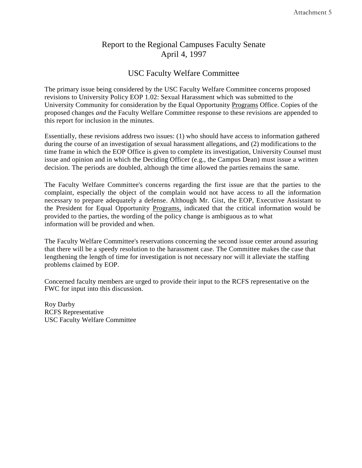# Report to the Regional Campuses Faculty Senate April 4, 1997

# USC Faculty Welfare Committee

The primary issue being considered by the USC Faculty Welfare Committee concerns proposed revisions to University Policy EOP 1.02: Sexual Harassment which was submitted to the University Community for consideration by the Equal Opportunity Programs Office. Copies of the proposed changes *and* the Faculty Welfare Committee response to these revisions are appended to this report for inclusion in the minutes.

Essentially, these revisions address two issues: (1) who should have access to information gathered during the course of an investigation of sexual harassment allegations, and (2) modifications to the time frame in which the EOP Office is given to complete its investigation, University Counsel must issue and opinion and in which the Deciding Officer (e.g., the Campus Dean) must issue a written decision. The periods are doubled, although the time allowed the parties remains the same.

The Faculty Welfare Committee's concerns regarding the first issue are that the parties to the complaint, especially the object of the complain would not have access to all the information necessary to prepare adequately a defense. Although Mr. Gist, the EOP, Executive Assistant to the President for Equal Opportunity Programs, indicated that the critical information would be provided to the parties, the wording of the policy change is ambiguous as to what information will be provided and when.

The Faculty Welfare Committee's reservations concerning the second issue center around assuring that there will be a speedy resolution to the harassment case. The Committee makes the case that lengthening the length of time for investigation is not necessary nor will it alleviate the staffing problems claimed by EOP.

Concerned faculty members are urged to provide their input to the RCFS representative on the FWC for input into this discussion.

Roy Darby RCFS Representative USC Faculty Welfare Committee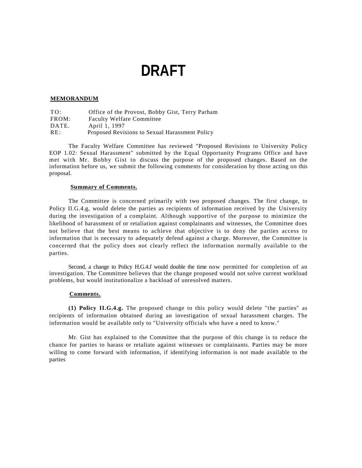# **DRAFT**

#### **MEMORANDUM**

| TO:   | Office of the Provost, Bobby Gist, Terry Parham |
|-------|-------------------------------------------------|
| FROM: | <b>Faculty Welfare Committee</b>                |
| DATE. | April 1, 1997                                   |
| RE:   | Proposed Revisions to Sexual Harassment Policy  |

The Faculty Welfare Committee has reviewed "Proposed Revisions to University Policy EOP 1.02: Sexual Harassment" submitted by the Equal Opportunity Programs Office and have met with Mr. Bobby Gist to discuss the purpose of the proposed changes. Based on the information before us, we submit the following comments for consideration by those acting on this proposal.

#### **Summary of Comments.**

The Committee is concerned primarily with two proposed changes. The first change, to Policy II.G.4.g, would delete the parties as recipients of information received by the University during the investigation of a complaint. Although supportive of the purpose to minimize the likelihood of harassment of or retaliation against complainants and witnesses, the Committee does not believe that the best means to achieve that objective is to deny the parties access to information that is necessary to adequately defend against a charge. Moreover, the Committee is concerned that the policy does not clearly reflect the information normally available to the parties.

Second, a change to Policy H.G.4.f would double the time now permitted for completion of an investigation. The Committee believes that the change proposed would not solve current workload problems, but would institutionalize a backload of unresolved matters.

#### **Comments.**

**(1) Policy II.G.4.g.** The proposed change to this policy would delete "the parties" as recipients of information obtained during an investigation of sexual harassment charges. The information would be available only to "University officials who have a need to know."

Mr. Gist has explained to the Committee that the purpose of this change is to reduce the chance for parties to harass or retaliate against witnesses or complainants. Parties may be more willing to come forward with information, if identifying information is not made available to the parties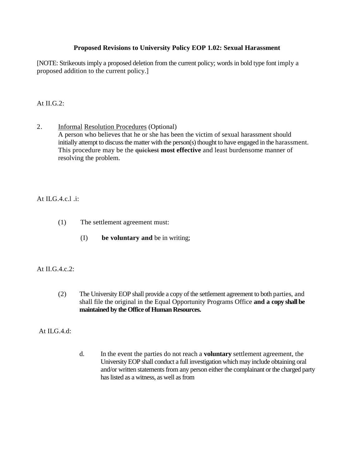### **Proposed Revisions to University Policy EOP 1.02: Sexual Harassment**

[NOTE: Strikeouts imply a proposed deletion from the current policy; words in bold type font imply a proposed addition to the current policy.]

### At II.G.2:

2. Informal Resolution Procedures (Optional) A person who believes that he or she has been the victim of sexual harassment should initially attempt to discuss the matter with the person(s) thought to have engaged in the harassment. This procedure may be the quickest **most effective** and least burdensome manner of resolving the problem.

## At ILG.4.c.l .i:

- (1) The settlement agreement must:
	- (I) **be voluntary and** be in writing;

### At II.G.4.c.2:

- (2) The University EOP shall provide a copy of the settlement agreement to both parties, and shall file the original in the Equal Opportunity Programs Office **and a copy shall be maintained by the Office of Human Resources.**
- At ILG 4 d:
- d. In the event the parties do not reach a **voluntary** settlement agreement, the University EOP shall conduct a full investigation which may include obtaining oral and/or written statements from any person either the complainant or the charged party has listed as a witness, as well as from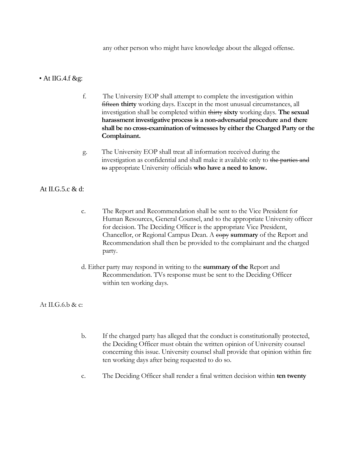any other person who might have knowledge about the alleged offense.

### • At IIG.4.f &g:

- f. The University EOP shall attempt to complete the investigation within fifteen **thirty** working days. Except in the most unusual circumstances, all investigation shall be completed within thirty **sixty** working days. **The sexual harassment investigative process is a non-adversarial procedure and there shall be no cross-examination of witnesses by either the Charged Party or the Complainant.**
- g. The University EOP shall treat all information received during the investigation as confidential and shall make it available only to the parties and to appropriate University officials **who have a need to know.**

### At II.G.5.c & d:

- c. The Report and Recommendation shall be sent to the Vice President for Human Resources, General Counsel, and to the appropriate University officer for decision. The Deciding Officer is the appropriate Vice President, Chancellor, or Regional Campus Dean. A copy **summary** of the Report and Recommendation shall then be provided to the complainant and the charged party.
- d. Either party may respond in writing to the **summary of the** Report and Recommendation. TVs response must be sent to the Deciding Officer within ten working days.

### At II.G.6.b & c:

- b. If the charged party has alleged that the conduct is constitutionally protected, the Deciding Officer must obtain the written opinion of University counsel concerning this issue. University counsel shall provide that opinion within fire ten working days after being requested to do so.
- c. The Deciding Officer shall render a final written decision within **ten twenty**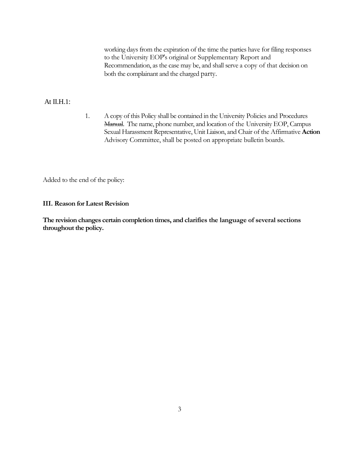working days from the expiration of the time the parties have for filing responses to the University EOP's original or Supplementary Report and Recommendation, as the case may be, and shall serve a copy of that decision on both the complainant and the charged party.

### At  $II.H.1:$

1. A copy of this Policy shall be contained in the University Policies and Procedures Manual. The name, phone number, and location of the University EOP, Campus Sexual Harassment Representative, Unit Liaison, and Chair of the Affirmative **Action**  Advisory Committee, shall be posted on appropriate bulletin boards.

Added to the end of the policy:

### **III. Reason for Latest Revision**

**The revision changes certain completion times, and clarifies the language of several sections throughout the policy.**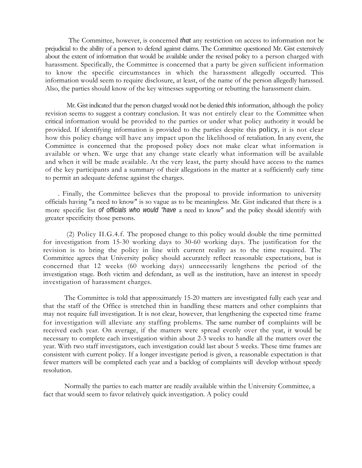The Committee, however, is concerned *that* any restriction on access to information not be prejudicial to the ability of a person to defend against claims. The Committee questioned Mr. Gist extensively about the extent of information that would be available under the revised policy to a person charged with harassment. Specifically, the Committee is concerned that a party be given sufficient information to know the specific circumstances in which the harassment allegedly occurred. This information would seem to require disclosure, at least, of the name of the person allegedly harassed. Also, the parties should know of the key witnesses supporting or rebutting the harassment claim.

Mr. Gist indicated that the person charged would not be denied *this* information, although the policy revision seems to suggest a contrary conclusion. It was not entirely clear to the Committee when critical information would be provided to the parties or under what policy authority it would be provided. If identifying information is provided to the parties despite this policy, it is not clear how this policy change will have any impact upon the likelihood of retaliation. In any event, the Committee is concerned that the proposed policy does not make clear what information is available or when. We urge that any change state clearly what information will be available and when it will be made available. At the very least, the party should have access to the names of the key participants and a summary of their allegations in the matter at a sufficiently early time to permit an adequate defense against the charges.

. Finally, the Committee believes that the proposal to provide information to university officials having "a need to know" is so vague as to be meaningless. Mr. Gist indicated that there is a more specific list *of officials who would "have* a need to know" and the policy should identify with greater specificity those persons.

(2) Policy II.G.4.f. The proposed change to this policy would double the time permitted for investigation from 15-30 working days to 30-60 working days. The justification for the revision is to bring the policy in line with current reality as to the time required. The Committee agrees that University policy should accurately reflect reasonable expectations, but is concerned that 12 weeks (60 working days) unnecessarily lengthens the period of the investigation stage. Both victim and defendant, as well as the institution, have an interest in speedy investigation of harassment charges.

The Committee is told that approximately 15-20 matters are investigated fully each year and that the staff of the Office is stretched thin in handling these matters and other complaints that may not require full investigation. It is not clear, however, that lengthening the expected time frame for investigation will alleviate any staffing problems. The same number of complaints will be received each year. On average, if the matters were spread evenly over the year, it would be necessary to complete each investigation within about 2-3 weeks to handle all the matters over the year. With two staff investigators, each investigation could last about 5 weeks. These time frames are consistent with current policy. If a longer investigate period is given, a reasonable expectation is that fewer matters will be completed each year and a backlog of complaints will develop without speedy resolution.

Normally the parties to each matter are readily available within the University Committee, a fact that would seem to favor relatively quick investigation. A policy could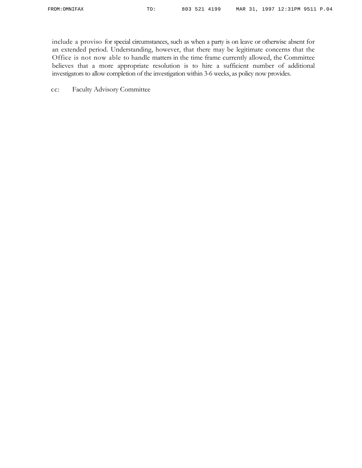include a proviso for special circumstances, such as when a party is on leave or otherwise absent for an extended period. Understanding, however, that there may be legitimate concerns that the Office is not now able to handle matters in the time frame currently allowed, the Committee believes that a more appropriate resolution is to hire a sufficient number of additional investigators to allow completion of the investigation within 3-6 weeks, as policy now provides.

cc: Faculty Advisory Committee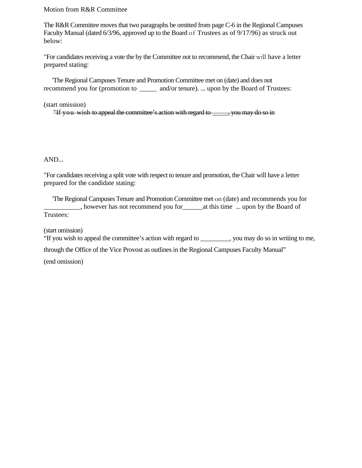Motion from R&R Committee

The R&R Committee moves that two paragraphs be omitted from page C-6 in the Regional Campuses Faculty Manual (dated 6/3/96, approved up to the Board of Trustees as of 9/17/96) as struck out below:

"For candidates receiving a vote the by the Committee not to recommend, the Chair will have a letter prepared stating:

'The Regional Campuses Tenure and Promotion Committee met on (date) and does not recommend you for (promotion to  $\qquad$  and/or tenure). ... upon by the Board of Trustees:

(start omission)

"If you wish to appeal the committee's action with regard to \_\_\_\_\_, you may do so in

AND...

"For candidates receiving a split vote with respect to tenure and promotion, the Chair will have a letter prepared for the candidate stating:

'The Regional Campuses Tenure and Promotion Committee met on (date) and recommends you for  $\Box$ , however has not recommend you for  $\Box$  at this time  $\Box$  upon by the Board of Trustees:

(start omission)

"If you wish to appeal the committee's action with regard to \_\_\_\_\_\_\_\_\_, you may do so in writing to me,

through the Office of the Vice Provost as outlines in the Regional Campuses Faculty Manual"

(end omission)